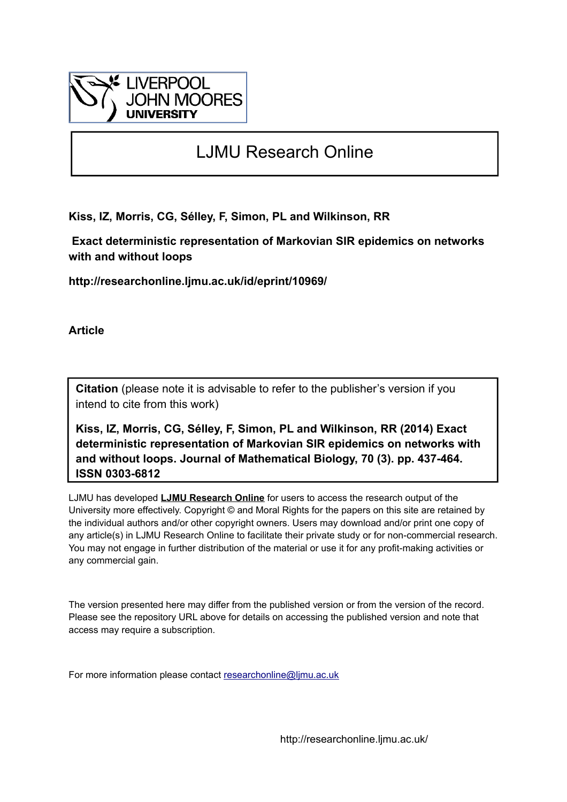

## LJMU Research Online

**Kiss, IZ, Morris, CG, Sélley, F, Simon, PL and Wilkinson, RR**

 **Exact deterministic representation of Markovian SIR epidemics on networks with and without loops**

**http://researchonline.ljmu.ac.uk/id/eprint/10969/**

**Article**

**Citation** (please note it is advisable to refer to the publisher's version if you intend to cite from this work)

**Kiss, IZ, Morris, CG, Sélley, F, Simon, PL and Wilkinson, RR (2014) Exact deterministic representation of Markovian SIR epidemics on networks with and without loops. Journal of Mathematical Biology, 70 (3). pp. 437-464. ISSN 0303-6812** 

LJMU has developed **[LJMU Research Online](http://researchonline.ljmu.ac.uk/)** for users to access the research output of the University more effectively. Copyright © and Moral Rights for the papers on this site are retained by the individual authors and/or other copyright owners. Users may download and/or print one copy of any article(s) in LJMU Research Online to facilitate their private study or for non-commercial research. You may not engage in further distribution of the material or use it for any profit-making activities or any commercial gain.

The version presented here may differ from the published version or from the version of the record. Please see the repository URL above for details on accessing the published version and note that access may require a subscription.

For more information please contact [researchonline@ljmu.ac.uk](mailto:researchonline@ljmu.ac.uk)

http://researchonline.ljmu.ac.uk/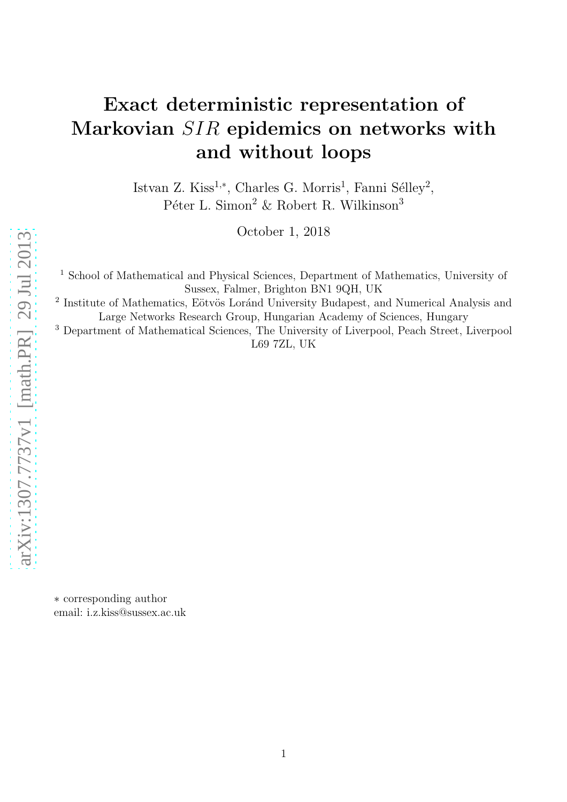# Exact deterministic representation of Markovian SIR epidemics on networks with and without loops

Istvan Z. Kiss<sup>1,\*</sup>, Charles G. Morris<sup>1</sup>, Fanni Sélley<sup>2</sup>, Péter L. Simon<sup>2</sup> & Robert R. Wilkinson<sup>3</sup>

October 1, 2018

<sup>1</sup> School of Mathematical and Physical Sciences, Department of Mathematics, University of Sussex, Falmer, Brighton BN1 9QH, UK

<sup>2</sup> Institute of Mathematics, Eötvös Loránd University Budapest, and Numerical Analysis and Large Networks Research Group, Hungarian Academy of Sciences, Hungary

<sup>3</sup> Department of Mathematical Sciences, The University of Liverpool, Peach Street, Liverpool L69 7ZL, UK

∗ corresponding author email: i.z.kiss@sussex.ac.uk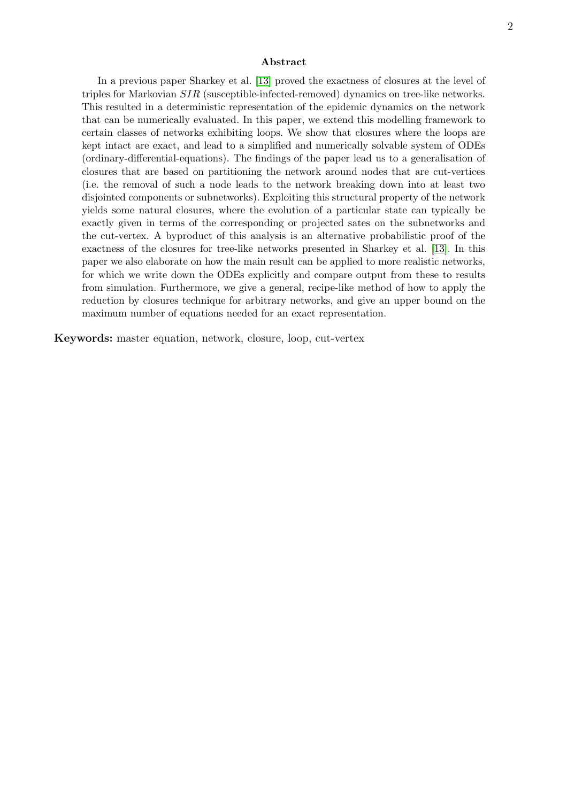#### Abstract

In a previous paper Sharkey et al. [\[13\]](#page-26-0) proved the exactness of closures at the level of triples for Markovian SIR (susceptible-infected-removed) dynamics on tree-like networks. This resulted in a deterministic representation of the epidemic dynamics on the network that can be numerically evaluated. In this paper, we extend this modelling framework to certain classes of networks exhibiting loops. We show that closures where the loops are kept intact are exact, and lead to a simplified and numerically solvable system of ODEs (ordinary-differential-equations). The findings of the paper lead us to a generalisation of closures that are based on partitioning the network around nodes that are cut-vertices (i.e. the removal of such a node leads to the network breaking down into at least two disjointed components or subnetworks). Exploiting this structural property of the network yields some natural closures, where the evolution of a particular state can typically be exactly given in terms of the corresponding or projected sates on the subnetworks and the cut-vertex. A byproduct of this analysis is an alternative probabilistic proof of the exactness of the closures for tree-like networks presented in Sharkey et al. [\[13\]](#page-26-0). In this paper we also elaborate on how the main result can be applied to more realistic networks, for which we write down the ODEs explicitly and compare output from these to results from simulation. Furthermore, we give a general, recipe-like method of how to apply the reduction by closures technique for arbitrary networks, and give an upper bound on the maximum number of equations needed for an exact representation.

Keywords: master equation, network, closure, loop, cut-vertex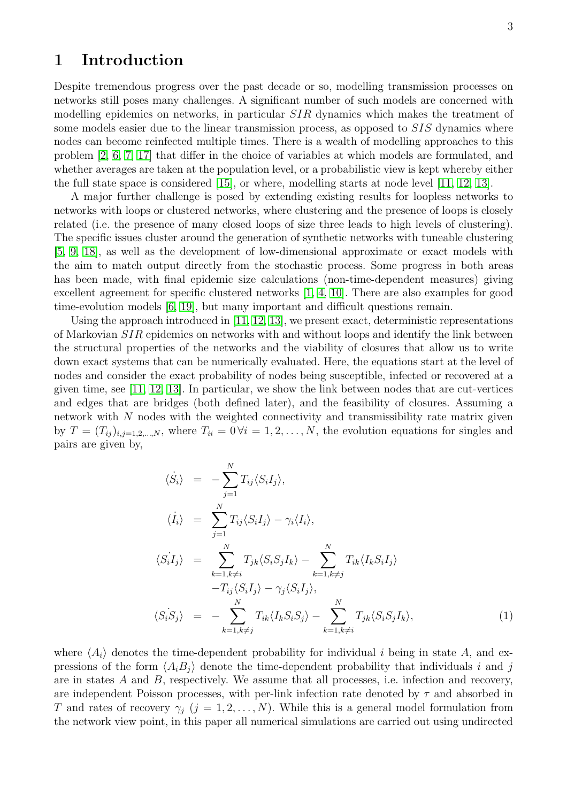## 1 Introduction

Despite tremendous progress over the past decade or so, modelling transmission processes on networks still poses many challenges. A significant number of such models are concerned with modelling epidemics on networks, in particular  $SIR$  dynamics which makes the treatment of some models easier due to the linear transmission process, as opposed to *SIS* dynamics where nodes can become reinfected multiple times. There is a wealth of modelling approaches to this problem [\[2,](#page-26-1) [6,](#page-26-2) [7,](#page-26-3) [17\]](#page-26-4) that differ in the choice of variables at which models are formulated, and whether averages are taken at the population level, or a probabilistic view is kept whereby either the full state space is considered [\[15\]](#page-26-5), or where, modelling starts at node level [\[11,](#page-26-6) [12,](#page-26-7) [13\]](#page-26-0).

A major further challenge is posed by extending existing results for loopless networks to networks with loops or clustered networks, where clustering and the presence of loops is closely related (i.e. the presence of many closed loops of size three leads to high levels of clustering). The specific issues cluster around the generation of synthetic networks with tuneable clustering [\[5,](#page-26-8) [9,](#page-26-9) [18\]](#page-26-10), as well as the development of low-dimensional approximate or exact models with the aim to match output directly from the stochastic process. Some progress in both areas has been made, with final epidemic size calculations (non-time-dependent measures) giving excellent agreement for specific clustered networks [\[1,](#page-26-11) [4,](#page-26-12) [10\]](#page-26-13). There are also examples for good time-evolution models [\[6,](#page-26-2) [19\]](#page-27-0), but many important and difficult questions remain.

Using the approach introduced in  $[11, 12, 13]$  $[11, 12, 13]$  $[11, 12, 13]$ , we present exact, deterministic representations of Markovian SIR epidemics on networks with and without loops and identify the link between the structural properties of the networks and the viability of closures that allow us to write down exact systems that can be numerically evaluated. Here, the equations start at the level of nodes and consider the exact probability of nodes being susceptible, infected or recovered at a given time, see [\[11,](#page-26-6) [12,](#page-26-7) [13\]](#page-26-0). In particular, we show the link between nodes that are cut-vertices and edges that are bridges (both defined later), and the feasibility of closures. Assuming a network with N nodes with the weighted connectivity and transmissibility rate matrix given by  $T = (T_{ij})_{i,j=1,2,...,N}$ , where  $T_{ii} = 0 \forall i = 1,2,...,N$ , the evolution equations for singles and pairs are given by,

<span id="page-3-0"></span>
$$
\langle \dot{S}_i \rangle = -\sum_{j=1}^N T_{ij} \langle S_i I_j \rangle,
$$
  
\n
$$
\langle \dot{I}_i \rangle = \sum_{j=1}^N T_{ij} \langle S_i I_j \rangle - \gamma_i \langle I_i \rangle,
$$
  
\n
$$
\langle \dot{S}_i \dot{I}_j \rangle = \sum_{k=1, k \neq i}^N T_{jk} \langle S_i S_j I_k \rangle - \sum_{k=1, k \neq j}^N T_{ik} \langle I_k S_i I_j \rangle
$$
  
\n
$$
\langle S_i S_j \rangle = -\sum_{k=1, k \neq j}^N T_{ik} \langle I_k S_i S_j \rangle - \sum_{k=1, k \neq i}^N T_{jk} \langle S_i S_j I_k \rangle,
$$
  
\n(1)

where  $\langle A_i \rangle$  denotes the time-dependent probability for individual i being in state A, and expressions of the form  $\langle A_i B_j \rangle$  denote the time-dependent probability that individuals i and j are in states  $A$  and  $B$ , respectively. We assume that all processes, i.e. infection and recovery, are independent Poisson processes, with per-link infection rate denoted by  $\tau$  and absorbed in T and rates of recovery  $\gamma_i$   $(j = 1, 2, ..., N)$ . While this is a general model formulation from the network view point, in this paper all numerical simulations are carried out using undirected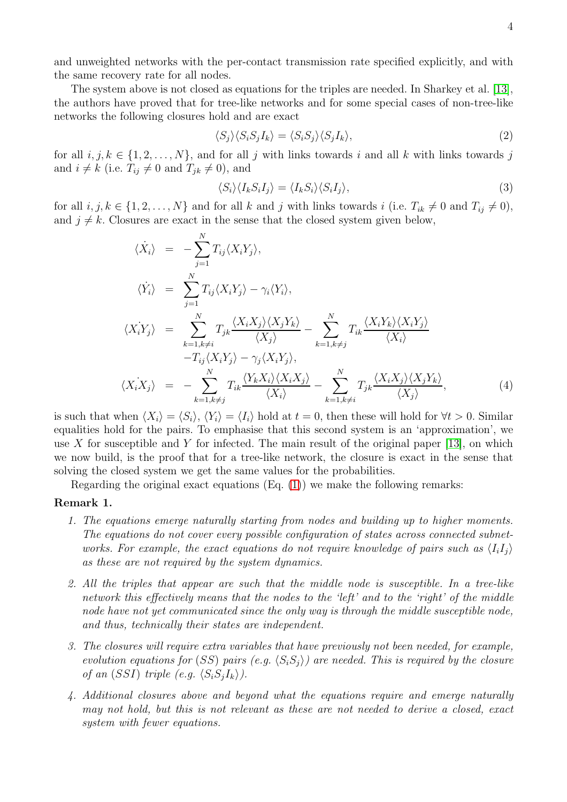and unweighted networks with the per-contact transmission rate specified explicitly, and with the same recovery rate for all nodes.

The system above is not closed as equations for the triples are needed. In Sharkey et al. [\[13\]](#page-26-0), the authors have proved that for tree-like networks and for some special cases of non-tree-like networks the following closures hold and are exact

<span id="page-4-0"></span>
$$
\langle S_j \rangle \langle S_i S_j I_k \rangle = \langle S_i S_j \rangle \langle S_j I_k \rangle, \tag{2}
$$

for all  $i, j, k \in \{1, 2, ..., N\}$ , and for all j with links towards i and all k with links towards j and  $i \neq k$  (i.e.  $T_{ij} \neq 0$  and  $T_{jk} \neq 0$ ), and

<span id="page-4-1"></span>
$$
\langle S_i \rangle \langle I_k S_i I_j \rangle = \langle I_k S_i \rangle \langle S_i I_j \rangle, \tag{3}
$$

for all  $i, j, k \in \{1, 2, ..., N\}$  and for all k and j with links towards i (i.e.  $T_{ik} \neq 0$  and  $T_{ij} \neq 0$ ), and  $j \neq k$ . Closures are exact in the sense that the closed system given below,

$$
\langle \dot{X}_i \rangle = -\sum_{j=1}^N T_{ij} \langle X_i Y_j \rangle,
$$
  
\n
$$
\langle \dot{Y}_i \rangle = \sum_{j=1}^N T_{ij} \langle X_i Y_j \rangle - \gamma_i \langle Y_i \rangle,
$$
  
\n
$$
\langle X_i Y_j \rangle = \sum_{k=1, k \neq i}^N T_{jk} \frac{\langle X_i X_j \rangle \langle X_j Y_k \rangle}{\langle X_j \rangle} - \sum_{k=1, k \neq j}^N T_{ik} \frac{\langle X_i Y_k \rangle \langle X_i Y_j \rangle}{\langle X_i \rangle} - T_{ij} \langle X_i Y_j \rangle - \gamma_j \langle X_i Y_j \rangle,
$$
  
\n
$$
\langle X_i X_j \rangle = -\sum_{k=1, k \neq j}^N T_{ik} \frac{\langle Y_k X_i \rangle \langle X_i X_j \rangle}{\langle X_i \rangle} - \sum_{k=1, k \neq i}^N T_{jk} \frac{\langle X_i X_j \rangle \langle X_j Y_k \rangle}{\langle X_j \rangle}, \tag{4}
$$

is such that when  $\langle X_i \rangle = \langle S_i \rangle$ ,  $\langle Y_i \rangle = \langle I_i \rangle$  hold at  $t = 0$ , then these will hold for  $\forall t > 0$ . Similar equalities hold for the pairs. To emphasise that this second system is an 'approximation', we use X for susceptible and Y for infected. The main result of the original paper [\[13\]](#page-26-0), on which we now build, is the proof that for a tree-like network, the closure is exact in the sense that solving the closed system we get the same values for the probabilities.

Regarding the original exact equations  $(E_q, (1))$  $(E_q, (1))$  $(E_q, (1))$  we make the following remarks:

#### Remark 1.

- 1. The equations emerge naturally starting from nodes and building up to higher moments. The equations do not cover every possible configuration of states across connected subnetworks. For example, the exact equations do not require knowledge of pairs such as  $\langle I_iI_i\rangle$ as these are not required by the system dynamics.
- 2. All the triples that appear are such that the middle node is susceptible. In a tree-like network this effectively means that the nodes to the 'left' and to the 'right' of the middle node have not yet communicated since the only way is through the middle susceptible node, and thus, technically their states are independent.
- 3. The closures will require extra variables that have previously not been needed, for example, evolution equations for (SS) pairs (e.g.  $\langle S_iS_j \rangle$ ) are needed. This is required by the closure of an  $(SSI)$  triple (e.g.  $\langle S_iS_jI_k\rangle$ ).
- 4. Additional closures above and beyond what the equations require and emerge naturally may not hold, but this is not relevant as these are not needed to derive a closed, exact system with fewer equations.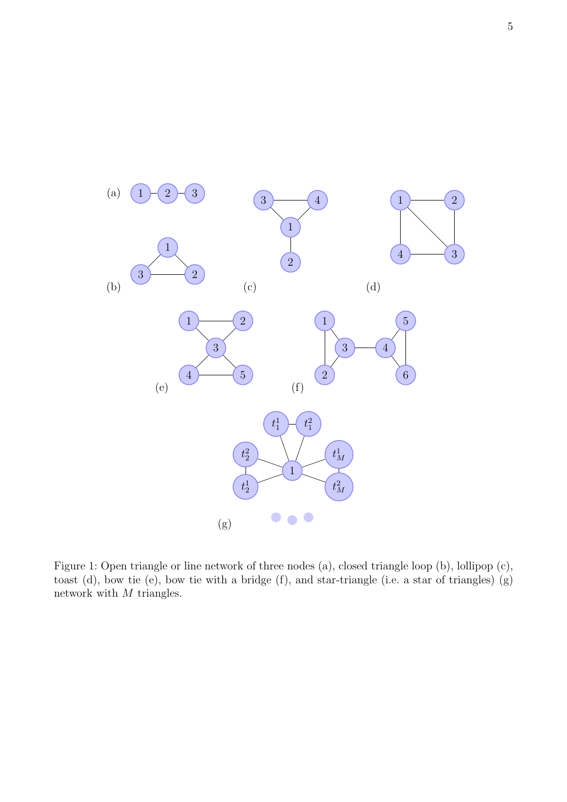

<span id="page-5-0"></span>Figure 1: Open triangle or line network of three nodes (a), closed triangle loop (b), lollipop (c), toast (d), bow tie (e), bow tie with a bridge (f), and star-triangle (i.e. a star of triangles) (g) network with  $M$  triangles.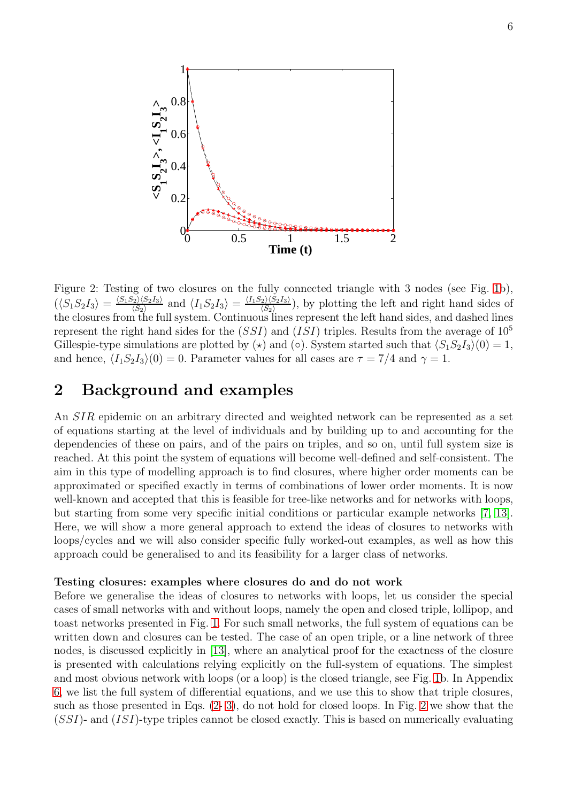

<span id="page-6-0"></span>Figure 2: Testing of two closures on the fully connected triangle with 3 nodes (see Fig. [1b](#page-5-0)),  $\langle \langle S_1 S_2 I_3 \rangle = \frac{\langle S_1 S_2 \rangle \langle S_2 I_3 \rangle}{\langle S_2 \rangle}$  $\frac{\langle I_2 \rangle \langle S_2 I_3 \rangle}{\langle S_2 \rangle}$  and  $\langle I_1 S_2 I_3 \rangle = \frac{\langle I_1 S_2 \rangle \langle S_2 I_3 \rangle}{\langle S_2 \rangle}$  $\frac{2(35243)}{(52)}$ , by plotting the left and right hand sides of the closures from the full system. Continuous lines represent the left hand sides, and dashed lines represent the right hand sides for the  $(SSI)$  and  $(ISI)$  triples. Results from the average of  $10<sup>5</sup>$ Gillespie-type simulations are plotted by ( $\star$ ) and ( $\circ$ ). System started such that  $\langle S_1S_2I_3\rangle(0) = 1$ , and hence,  $\langle I_1S_2I_3\rangle(0) = 0$ . Parameter values for all cases are  $\tau = 7/4$  and  $\gamma = 1$ .

## 2 Background and examples

An SIR epidemic on an arbitrary directed and weighted network can be represented as a set of equations starting at the level of individuals and by building up to and accounting for the dependencies of these on pairs, and of the pairs on triples, and so on, until full system size is reached. At this point the system of equations will become well-defined and self-consistent. The aim in this type of modelling approach is to find closures, where higher order moments can be approximated or specified exactly in terms of combinations of lower order moments. It is now well-known and accepted that this is feasible for tree-like networks and for networks with loops, but starting from some very specific initial conditions or particular example networks [\[7,](#page-26-3) [13\]](#page-26-0). Here, we will show a more general approach to extend the ideas of closures to networks with loops/cycles and we will also consider specific fully worked-out examples, as well as how this approach could be generalised to and its feasibility for a larger class of networks.

#### Testing closures: examples where closures do and do not work

Before we generalise the ideas of closures to networks with loops, let us consider the special cases of small networks with and without loops, namely the open and closed triple, lollipop, and toast networks presented in Fig. [1.](#page-5-0) For such small networks, the full system of equations can be written down and closures can be tested. The case of an open triple, or a line network of three nodes, is discussed explicitly in [\[13\]](#page-26-0), where an analytical proof for the exactness of the closure is presented with calculations relying explicitly on the full-system of equations. The simplest and most obvious network with loops (or a loop) is the closed triangle, see Fig. [1b](#page-5-0). In Appendix [6,](#page-19-0) we list the full system of differential equations, and we use this to show that triple closures, such as those presented in Eqs. [\(2-](#page-4-0) [3\)](#page-4-1), do not hold for closed loops. In Fig. [2](#page-6-0) we show that the  $(SSI)$ - and  $(ISI)$ -type triples cannot be closed exactly. This is based on numerically evaluating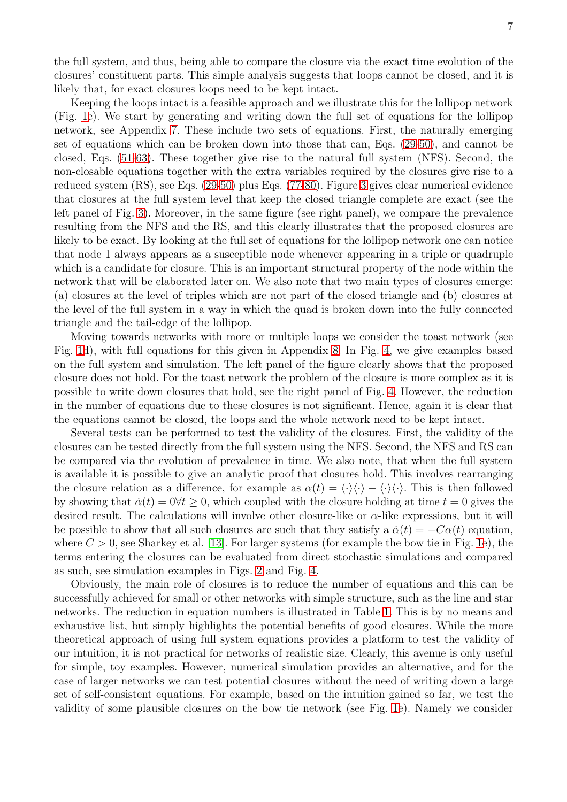the full system, and thus, being able to compare the closure via the exact time evolution of the closures' constituent parts. This simple analysis suggests that loops cannot be closed, and it is likely that, for exact closures loops need to be kept intact.

Keeping the loops intact is a feasible approach and we illustrate this for the lollipop network (Fig. [1c](#page-5-0)). We start by generating and writing down the full set of equations for the lollipop network, see Appendix [7.](#page-20-0) These include two sets of equations. First, the naturally emerging set of equations which can be broken down into those that can, Eqs. [\(29](#page-20-1)[-50\)](#page-20-2), and cannot be closed, Eqs. [\(51-](#page-20-3)[63\)](#page-21-0). These together give rise to the natural full system (NFS). Second, the non-closable equations together with the extra variables required by the closures give rise to a reduced system (RS), see Eqs. [\(29](#page-20-1)[-50\)](#page-20-2) plus Eqs. [\(77-](#page-21-1)[80\)](#page-21-2). Figure [3](#page-8-0) gives clear numerical evidence that closures at the full system level that keep the closed triangle complete are exact (see the left panel of Fig. [3\)](#page-8-0). Moreover, in the same figure (see right panel), we compare the prevalence resulting from the NFS and the RS, and this clearly illustrates that the proposed closures are likely to be exact. By looking at the full set of equations for the lollipop network one can notice that node 1 always appears as a susceptible node whenever appearing in a triple or quadruple which is a candidate for closure. This is an important structural property of the node within the network that will be elaborated later on. We also note that two main types of closures emerge: (a) closures at the level of triples which are not part of the closed triangle and (b) closures at the level of the full system in a way in which the quad is broken down into the fully connected triangle and the tail-edge of the lollipop.

Moving towards networks with more or multiple loops we consider the toast network (see Fig. [1d](#page-5-0)), with full equations for this given in Appendix [8.](#page-22-0) In Fig. [4,](#page-9-0) we give examples based on the full system and simulation. The left panel of the figure clearly shows that the proposed closure does not hold. For the toast network the problem of the closure is more complex as it is possible to write down closures that hold, see the right panel of Fig. [4.](#page-9-0) However, the reduction in the number of equations due to these closures is not significant. Hence, again it is clear that the equations cannot be closed, the loops and the whole network need to be kept intact.

Several tests can be performed to test the validity of the closures. First, the validity of the closures can be tested directly from the full system using the NFS. Second, the NFS and RS can be compared via the evolution of prevalence in time. We also note, that when the full system is available it is possible to give an analytic proof that closures hold. This involves rearranging the closure relation as a difference, for example as  $\alpha(t) = \langle \cdot \rangle \langle \cdot \rangle - \langle \cdot \rangle \langle \cdot \rangle$ . This is then followed by showing that  $\dot{\alpha}(t) = 0 \forall t \geq 0$ , which coupled with the closure holding at time  $t = 0$  gives the desired result. The calculations will involve other closure-like or  $\alpha$ -like expressions, but it will be possible to show that all such closures are such that they satisfy a  $\dot{\alpha}(t) = -C\alpha(t)$  equation, where  $C > 0$ , see Sharkey et al. [\[13\]](#page-26-0). For larger systems (for example the bow tie in Fig. [1e](#page-5-0)), the terms entering the closures can be evaluated from direct stochastic simulations and compared as such, see simulation examples in Figs. [2](#page-6-0) and Fig. [4.](#page-9-0)

Obviously, the main role of closures is to reduce the number of equations and this can be successfully achieved for small or other networks with simple structure, such as the line and star networks. The reduction in equation numbers is illustrated in Table [1.](#page-9-1) This is by no means and exhaustive list, but simply highlights the potential benefits of good closures. While the more theoretical approach of using full system equations provides a platform to test the validity of our intuition, it is not practical for networks of realistic size. Clearly, this avenue is only useful for simple, toy examples. However, numerical simulation provides an alternative, and for the case of larger networks we can test potential closures without the need of writing down a large set of self-consistent equations. For example, based on the intuition gained so far, we test the validity of some plausible closures on the bow tie network (see Fig. [1e](#page-5-0)). Namely we consider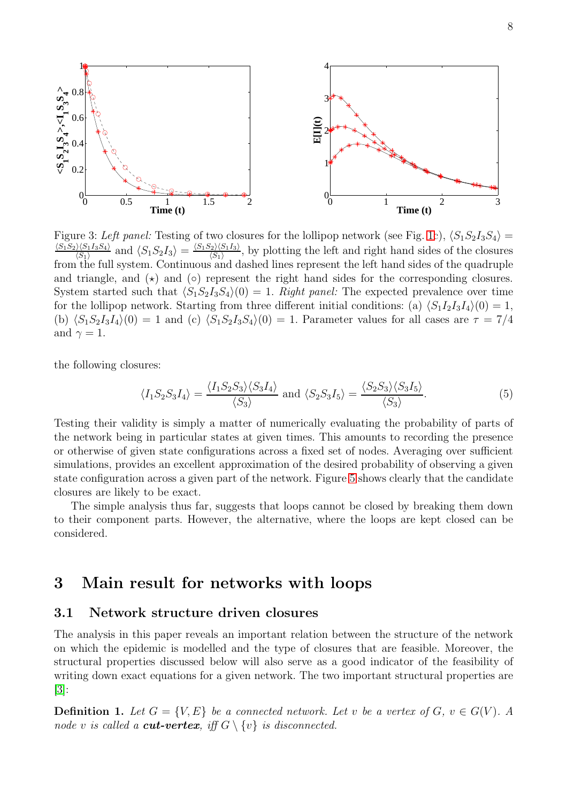

<span id="page-8-0"></span>Figure 3: Left panel: Testing of two closures for the lollipop network (see Fig. [1c](#page-5-0)),  $\langle S_1S_2I_3S_4 \rangle =$  $\langle S_1S_2\rangle \langle S_1I_3S_4\rangle$  $\frac{\langle S_1 I_3 S_4 \rangle}{\langle S_1 \rangle}$  and  $\langle S_1 S_2 I_3 \rangle = \frac{\langle S_1 S_2 \rangle \langle S_1 I_3 \rangle}{\langle S_1 \rangle}$  $\frac{\binom{2}{3}\binom{S_1}{3}}{\binom{S_1}{S_1}}$ , by plotting the left and right hand sides of the closures from the full system. Continuous and dashed lines represent the left hand sides of the quadruple and triangle, and  $(\star)$  and  $(\circ)$  represent the right hand sides for the corresponding closures. System started such that  $\langle S_1S_2I_3S_4\rangle(0) = 1$ . Right panel: The expected prevalence over time for the lollipop network. Starting from three different initial conditions: (a)  $\langle S_1I_2I_3I_4\rangle(0) = 1$ , (b)  $\langle S_1S_2I_3I_4\rangle(0) = 1$  and (c)  $\langle S_1S_2I_3S_4\rangle(0) = 1$ . Parameter values for all cases are  $\tau = 7/4$ and  $\gamma = 1$ .

the following closures:

$$
\langle I_1 S_2 S_3 I_4 \rangle = \frac{\langle I_1 S_2 S_3 \rangle \langle S_3 I_4 \rangle}{\langle S_3 \rangle} \text{ and } \langle S_2 S_3 I_5 \rangle = \frac{\langle S_2 S_3 \rangle \langle S_3 I_5 \rangle}{\langle S_3 \rangle}.
$$
 (5)

Testing their validity is simply a matter of numerically evaluating the probability of parts of the network being in particular states at given times. This amounts to recording the presence or otherwise of given state configurations across a fixed set of nodes. Averaging over sufficient simulations, provides an excellent approximation of the desired probability of observing a given state configuration across a given part of the network. Figure [5](#page-10-0) shows clearly that the candidate closures are likely to be exact.

The simple analysis thus far, suggests that loops cannot be closed by breaking them down to their component parts. However, the alternative, where the loops are kept closed can be considered.

## 3 Main result for networks with loops

#### 3.1 Network structure driven closures

The analysis in this paper reveals an important relation between the structure of the network on which the epidemic is modelled and the type of closures that are feasible. Moreover, the structural properties discussed below will also serve as a good indicator of the feasibility of writing down exact equations for a given network. The two important structural properties are [\[3\]](#page-26-14):

**Definition 1.** Let  $G = \{V, E\}$  be a connected network. Let v be a vertex of  $G, v \in G(V)$ . A node v is called a **cut-vertex**, iff  $G \setminus \{v\}$  is disconnected.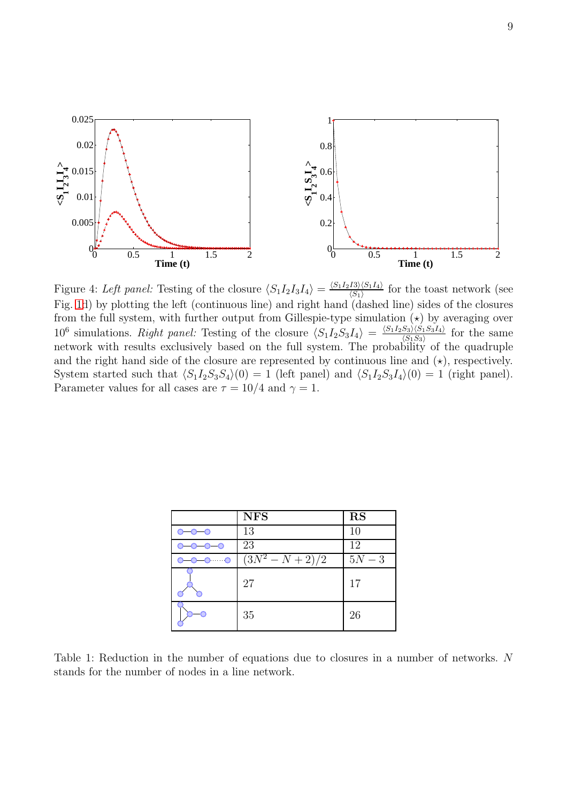

<span id="page-9-0"></span>Figure 4: Left panel: Testing of the closure  $\langle S_1I_2I_3I_4 \rangle = \frac{\langle S_1I_2I_3\rangle \langle S_1I_4\rangle}{\langle S_1\rangle}$  $\frac{f_{3}\left(\sqrt{S_1}\right)}{f_{3}\left(\sqrt{S_1}\right)}$  for the toast network (see Fig. [1d](#page-5-0)) by plotting the left (continuous line) and right hand (dashed line) sides of the closures from the full system, with further output from Gillespie-type simulation  $\star$ ) by averaging over  $10^6$  simulations. Right panel: Testing of the closure  $\langle S_1I_2S_3I_4 \rangle = \frac{\langle S_1I_2S_3 \rangle \langle S_1S_3I_4 \rangle}{\langle S_1S_3 \rangle}$  $\frac{S_3(\{S_1S_3\})}{\langle S_1S_3\rangle}$  for the same network with results exclusively based on the full system. The probability of the quadruple and the right hand side of the closure are represented by continuous line and  $(\star)$ , respectively. System started such that  $\langle S_1I_2S_3S_4\rangle(0) = 1$  (left panel) and  $\langle S_1I_2S_3I_4\rangle(0) = 1$  (right panel). Parameter values for all cases are  $\tau = 10/4$  and  $\gamma = 1$ .

|                  | <b>NFS</b>            | <b>RS</b> |
|------------------|-----------------------|-----------|
|                  | 13                    | 10        |
|                  | 23                    | 12        |
| $\cdots$ $\odot$ | $\sqrt{(3N^2-N+2)/2}$ | $5N-3$    |
|                  | 27                    | 17        |
|                  | 35                    | 26        |

<span id="page-9-1"></span>Table 1: Reduction in the number of equations due to closures in a number of networks. N stands for the number of nodes in a line network.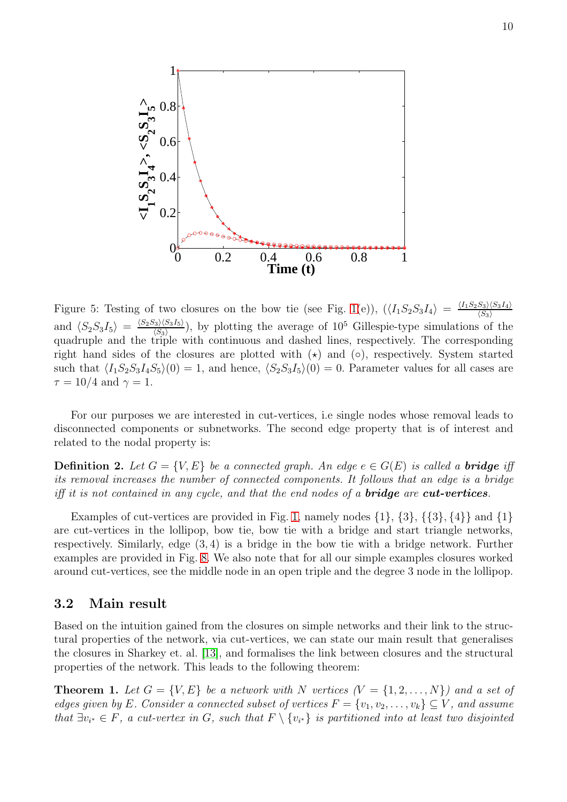

<span id="page-10-0"></span>Figure 5: Testing of two closures on the bow tie (see Fig. [1\(](#page-5-0)e)),  $(\langle I_1S_2S_3I_4 \rangle = \frac{\langle I_1S_2S_3\rangle \langle S_3I_4\rangle}{\langle S_3\rangle}$  $\langle S_3 \rangle$ and  $\langle S_2S_3I_5 \rangle = \frac{\langle S_2S_3 \rangle \langle S_3I_5 \rangle}{\langle S_3 \rangle}$  $\frac{\sqrt{3}(S_3I_5)}{\sqrt{S_3}}$ , by plotting the average of  $10^5$  Gillespie-type simulations of the quadruple and the triple with continuous and dashed lines, respectively. The corresponding right hand sides of the closures are plotted with  $(\star)$  and  $(\circ)$ , respectively. System started such that  $\langle I_1S_2S_3I_4S_5\rangle(0) = 1$ , and hence,  $\langle S_2S_3I_5\rangle(0) = 0$ . Parameter values for all cases are  $\tau = 10/4$  and  $\gamma = 1$ .

For our purposes we are interested in cut-vertices, i.e single nodes whose removal leads to disconnected components or subnetworks. The second edge property that is of interest and related to the nodal property is:

**Definition 2.** Let  $G = \{V, E\}$  be a connected graph. An edge  $e \in G(E)$  is called a **bridge** iff its removal increases the number of connected components. It follows that an edge is a bridge iff it is not contained in any cycle, and that the end nodes of a **bridge** are **cut-vertices**.

Examples of cut-vertices are provided in Fig. [1,](#page-5-0) namely nodes  $\{1\}$ ,  $\{3\}$ ,  $\{\{3\}$ ,  $\{4\}\}$  and  $\{1\}$ are cut-vertices in the lollipop, bow tie, bow tie with a bridge and start triangle networks, respectively. Similarly, edge  $(3, 4)$  is a bridge in the bow tie with a bridge network. Further examples are provided in Fig. [8.](#page-17-0) We also note that for all our simple examples closures worked around cut-vertices, see the middle node in an open triple and the degree 3 node in the lollipop.

#### 3.2 Main result

Based on the intuition gained from the closures on simple networks and their link to the structural properties of the network, via cut-vertices, we can state our main result that generalises the closures in Sharkey et. al. [\[13\]](#page-26-0), and formalises the link between closures and the structural properties of the network. This leads to the following theorem:

**Theorem 1.** Let  $G = \{V, E\}$  be a network with N vertices  $(V = \{1, 2, ..., N\})$  and a set of edges given by E. Consider a connected subset of vertices  $F = \{v_1, v_2, \ldots, v_k\} \subseteq V$ , and assume that  $\exists v_{i^*} \in F$ , a cut-vertex in G, such that  $F \setminus \{v_{i^*}\}\$ is partitioned into at least two disjointed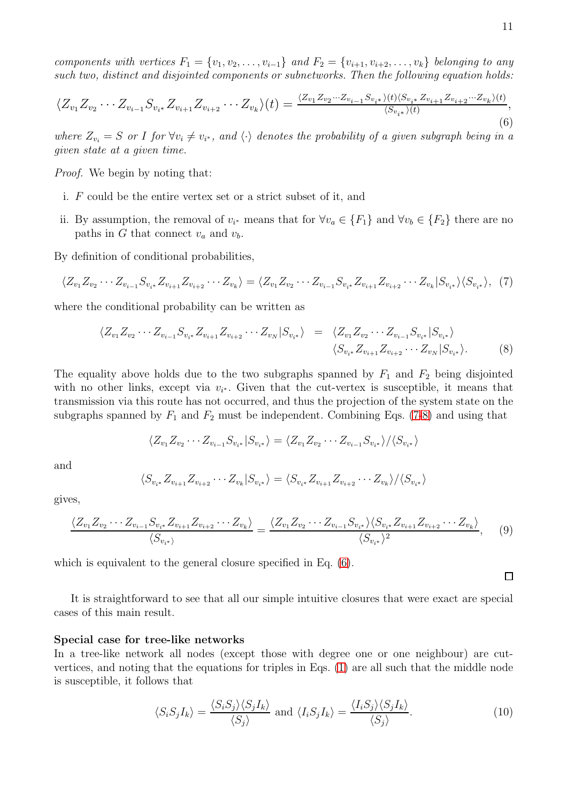<span id="page-11-2"></span>
$$
\langle Z_{v_1} Z_{v_2} \cdots Z_{v_{i-1}} S_{v_{i^*}} Z_{v_{i+1}} Z_{v_{i+2}} \cdots Z_{v_k} \rangle (t) = \frac{\langle Z_{v_1} Z_{v_2} \cdots Z_{v_{i-1}} S_{v_{i^*}} \rangle (t) \langle S_{v_{i^*}} Z_{v_{i+1}} Z_{v_{i+2}} \cdots Z_{v_k} \rangle (t)}{\langle S_{v_{i^*}} \rangle (t)},
$$
\n(6)

where  $Z_{v_i} = S$  or I for  $\forall v_i \neq v_{i^*}$ , and  $\langle \cdot \rangle$  denotes the probability of a given subgraph being in a given state at a given time.

Proof. We begin by noting that:

- i. F could be the entire vertex set or a strict subset of it, and
- ii. By assumption, the removal of  $v_{i^*}$  means that for  $\forall v_a \in \{F_1\}$  and  $\forall v_b \in \{F_2\}$  there are no paths in G that connect  $v_a$  and  $v_b$ .

By definition of conditional probabilities,

$$
\langle Z_{v_1} Z_{v_2} \cdots Z_{v_{i-1}} S_{v_{i^*}} Z_{v_{i+1}} Z_{v_{i+2}} \cdots Z_{v_k} \rangle = \langle Z_{v_1} Z_{v_2} \cdots Z_{v_{i-1}} S_{v_{i^*}} Z_{v_{i+1}} Z_{v_{i+2}} \cdots Z_{v_k} | S_{v_{i^*}} \rangle \langle S_{v_{i^*}} \rangle, (7)
$$

where the conditional probability can be written as

<span id="page-11-1"></span><span id="page-11-0"></span>
$$
\langle Z_{v_1} Z_{v_2} \cdots Z_{v_{i-1}} S_{v_{i^*}} Z_{v_{i+1}} Z_{v_{i+2}} \cdots Z_{v_N} | S_{v_{i^*}} \rangle = \langle Z_{v_1} Z_{v_2} \cdots Z_{v_{i-1}} S_{v_{i^*}} | S_{v_{i^*}} \rangle
$$
  

$$
\langle S_{v_{i^*}} Z_{v_{i+1}} Z_{v_{i+2}} \cdots Z_{v_N} | S_{v_{i^*}} \rangle.
$$
 (8)

The equality above holds due to the two subgraphs spanned by  $F_1$  and  $F_2$  being disjointed with no other links, except via  $v_{i^*}$ . Given that the cut-vertex is susceptible, it means that transmission via this route has not occurred, and thus the projection of the system state on the subgraphs spanned by  $F_1$  and  $F_2$  must be independent. Combining Eqs. [\(7](#page-11-0)[-8\)](#page-11-1) and using that

$$
\langle Z_{v_1} Z_{v_2} \cdots Z_{v_{i-1}} S_{v_{i^*}} | S_{v_{i^*}} \rangle = \langle Z_{v_1} Z_{v_2} \cdots Z_{v_{i-1}} S_{v_{i^*}} \rangle / \langle S_{v_{i^*}} \rangle
$$

and

$$
\langle S_{v_{i^*}} Z_{v_{i+1}} Z_{v_{i+2}} \cdots Z_{v_k} | S_{v_{i^*}} \rangle = \langle S_{v_{i^*}} Z_{v_{i+1}} Z_{v_{i+2}} \cdots Z_{v_k} \rangle / \langle S_{v_{i^*}} \rangle
$$

gives,

$$
\frac{\langle Z_{v_1} Z_{v_2} \cdots Z_{v_{i-1}} S_{v_{i^*}} Z_{v_{i+1}} Z_{v_{i+2}} \cdots Z_{v_k} \rangle}{\langle S_{v_{i^*}} \rangle} = \frac{\langle Z_{v_1} Z_{v_2} \cdots Z_{v_{i-1}} S_{v_{i^*}} \rangle \langle S_{v_{i^*}} Z_{v_{i+1}} Z_{v_{i+2}} \cdots Z_{v_k} \rangle}{\langle S_{v_{i^*}} \rangle^2}, \quad (9)
$$

which is equivalent to the general closure specified in Eq.  $(6)$ .

It is straightforward to see that all our simple intuitive closures that were exact are special cases of this main result.

#### Special case for tree-like networks

In a tree-like network all nodes (except those with degree one or one neighbour) are cutvertices, and noting that the equations for triples in Eqs. [\(1\)](#page-3-0) are all such that the middle node is susceptible, it follows that

$$
\langle S_i S_j I_k \rangle = \frac{\langle S_i S_j \rangle \langle S_j I_k \rangle}{\langle S_j \rangle} \text{ and } \langle I_i S_j I_k \rangle = \frac{\langle I_i S_j \rangle \langle S_j I_k \rangle}{\langle S_j \rangle}.
$$
 (10)

 $\Box$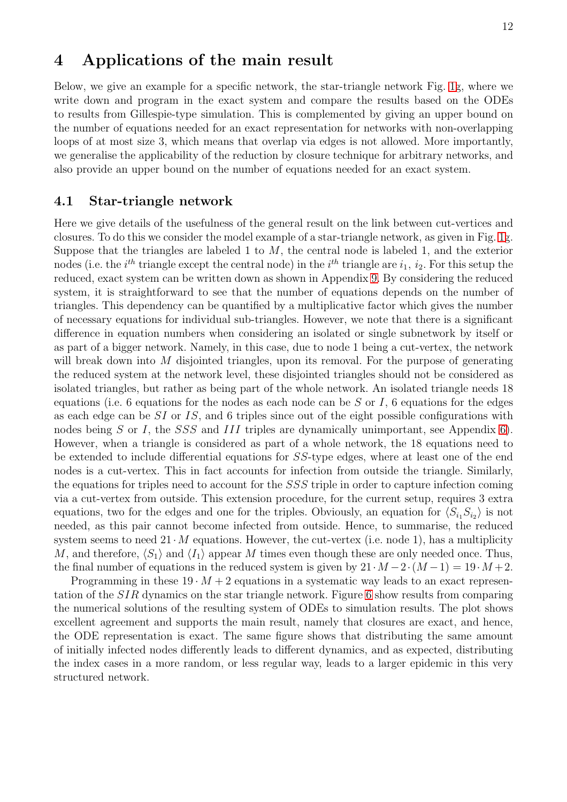## 4 Applications of the main result

Below, we give an example for a specific network, the star-triangle network Fig. [1g](#page-5-0), where we write down and program in the exact system and compare the results based on the ODEs to results from Gillespie-type simulation. This is complemented by giving an upper bound on the number of equations needed for an exact representation for networks with non-overlapping loops of at most size 3, which means that overlap via edges is not allowed. More importantly, we generalise the applicability of the reduction by closure technique for arbitrary networks, and also provide an upper bound on the number of equations needed for an exact system.

#### 4.1 Star-triangle network

Here we give details of the usefulness of the general result on the link between cut-vertices and closures. To do this we consider the model example of a star-triangle network, as given in Fig. [1g](#page-5-0). Suppose that the triangles are labeled 1 to  $M$ , the central node is labeled 1, and the exterior nodes (i.e. the  $i^{th}$  triangle except the central node) in the  $i^{th}$  triangle are  $i_1, i_2$ . For this setup the reduced, exact system can be written down as shown in Appendix [9.](#page-23-0) By considering the reduced system, it is straightforward to see that the number of equations depends on the number of triangles. This dependency can be quantified by a multiplicative factor which gives the number of necessary equations for individual sub-triangles. However, we note that there is a significant difference in equation numbers when considering an isolated or single subnetwork by itself or as part of a bigger network. Namely, in this case, due to node 1 being a cut-vertex, the network will break down into  $M$  disjointed triangles, upon its removal. For the purpose of generating the reduced system at the network level, these disjointed triangles should not be considered as isolated triangles, but rather as being part of the whole network. An isolated triangle needs 18 equations (i.e. 6 equations for the nodes as each node can be  $S$  or  $I$ , 6 equations for the edges as each edge can be SI or IS, and 6 triples since out of the eight possible configurations with nodes being S or I, the SSS and III triples are dynamically unimportant, see Appendix [6\)](#page-19-0). However, when a triangle is considered as part of a whole network, the 18 equations need to be extended to include differential equations for SS-type edges, where at least one of the end nodes is a cut-vertex. This in fact accounts for infection from outside the triangle. Similarly, the equations for triples need to account for the SSS triple in order to capture infection coming via a cut-vertex from outside. This extension procedure, for the current setup, requires 3 extra equations, two for the edges and one for the triples. Obviously, an equation for  $\langle S_{i_1} S_{i_2} \rangle$  is not needed, as this pair cannot become infected from outside. Hence, to summarise, the reduced system seems to need  $21 \cdot M$  equations. However, the cut-vertex (i.e. node 1), has a multiplicity M, and therefore,  $\langle S_1 \rangle$  and  $\langle I_1 \rangle$  appear M times even though these are only needed once. Thus, the final number of equations in the reduced system is given by  $21 \cdot M - 2 \cdot (M - 1) = 19 \cdot M + 2$ .

Programming in these  $19 \cdot M + 2$  equations in a systematic way leads to an exact representation of the SIR dynamics on the star triangle network. Figure [6](#page-13-0) show results from comparing the numerical solutions of the resulting system of ODEs to simulation results. The plot shows excellent agreement and supports the main result, namely that closures are exact, and hence, the ODE representation is exact. The same figure shows that distributing the same amount of initially infected nodes differently leads to different dynamics, and as expected, distributing the index cases in a more random, or less regular way, leads to a larger epidemic in this very structured network.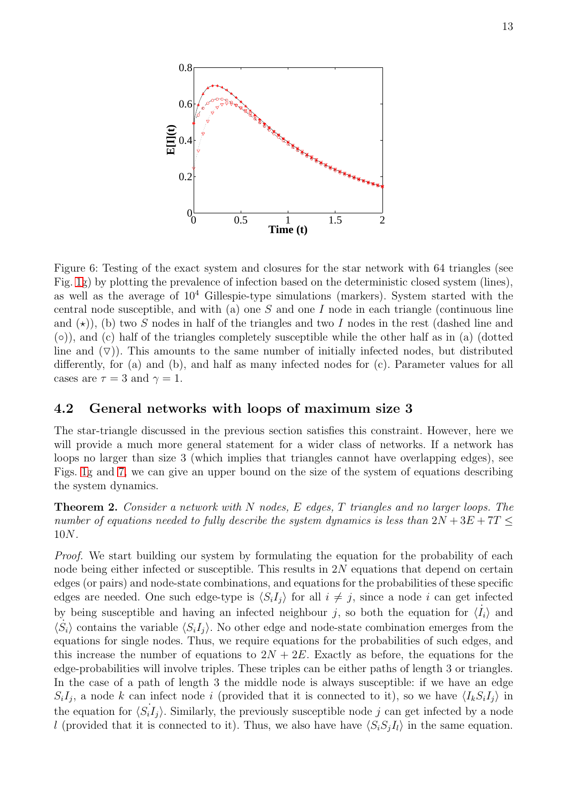

<span id="page-13-0"></span>Figure 6: Testing of the exact system and closures for the star network with 64 triangles (see Fig. [1g](#page-5-0)) by plotting the prevalence of infection based on the deterministic closed system (lines), as well as the average of  $10^4$  Gillespie-type simulations (markers). System started with the central node susceptible, and with (a) one  $S$  and one  $I$  node in each triangle (continuous line and  $(\star)$ ), (b) two S nodes in half of the triangles and two I nodes in the rest (dashed line and (◦)), and (c) half of the triangles completely susceptible while the other half as in (a) (dotted line and  $(\nabla)$ ). This amounts to the same number of initially infected nodes, but distributed differently, for (a) and (b), and half as many infected nodes for (c). Parameter values for all cases are  $\tau = 3$  and  $\gamma = 1$ .

#### 4.2 General networks with loops of maximum size 3

The star-triangle discussed in the previous section satisfies this constraint. However, here we will provide a much more general statement for a wider class of networks. If a network has loops no larger than size 3 (which implies that triangles cannot have overlapping edges), see Figs. [1g](#page-5-0) and [7,](#page-14-0) we can give an upper bound on the size of the system of equations describing the system dynamics.

Theorem 2. Consider a network with N nodes, E edges, T triangles and no larger loops. The number of equations needed to fully describe the system dynamics is less than  $2N+3E+7T \leq$ 10N.

Proof. We start building our system by formulating the equation for the probability of each node being either infected or susceptible. This results in  $2N$  equations that depend on certain edges (or pairs) and node-state combinations, and equations for the probabilities of these specific edges are needed. One such edge-type is  $\langle S_iI_j \rangle$  for all  $i \neq j$ , since a node i can get infected by being susceptible and having an infected neighbour j, so both the equation for  $\langle I_i \rangle$  and  $\langle \dot{S}_i \rangle$  contains the variable  $\langle S_i I_j \rangle$ . No other edge and node-state combination emerges from the equations for single nodes. Thus, we require equations for the probabilities of such edges, and this increase the number of equations to  $2N + 2E$ . Exactly as before, the equations for the edge-probabilities will involve triples. These triples can be either paths of length 3 or triangles. In the case of a path of length 3 the middle node is always susceptible: if we have an edge  $S_iI_j$ , a node k can infect node i (provided that it is connected to it), so we have  $\langle I_kS_iI_j\rangle$  in the equation for  $\langle S_i I_j \rangle$ . Similarly, the previously susceptible node j can get infected by a node l (provided that it is connected to it). Thus, we also have have  $\langle S_i S_j I_l \rangle$  in the same equation.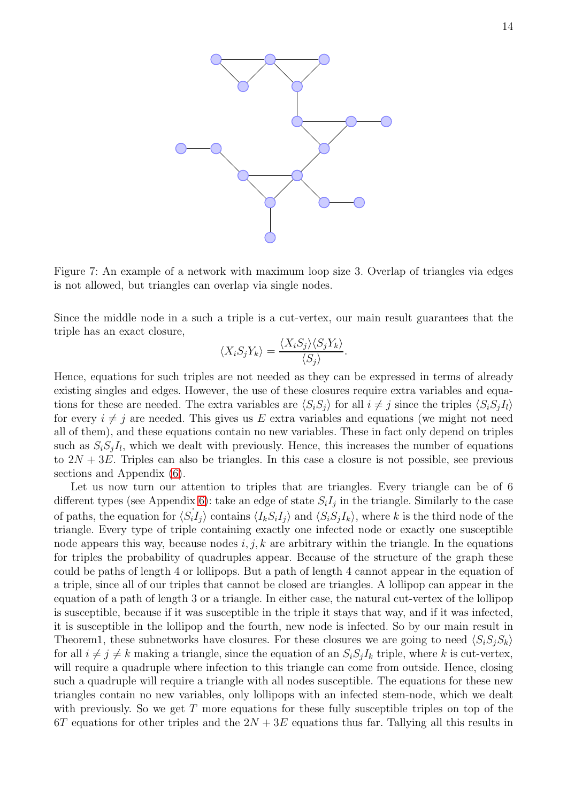

<span id="page-14-0"></span>Figure 7: An example of a network with maximum loop size 3. Overlap of triangles via edges is not allowed, but triangles can overlap via single nodes.

Since the middle node in a such a triple is a cut-vertex, our main result guarantees that the triple has an exact closure,

$$
\langle X_i S_j Y_k \rangle = \frac{\langle X_i S_j \rangle \langle S_j Y_k \rangle}{\langle S_j \rangle}
$$

.

Hence, equations for such triples are not needed as they can be expressed in terms of already existing singles and edges. However, the use of these closures require extra variables and equations for these are needed. The extra variables are  $\langle S_iS_j \rangle$  for all  $i \neq j$  since the triples  $\langle S_iS_jI_l \rangle$ for every  $i \neq j$  are needed. This gives us E extra variables and equations (we might not need all of them), and these equations contain no new variables. These in fact only depend on triples such as  $S_i S_j I_l$ , which we dealt with previously. Hence, this increases the number of equations to  $2N + 3E$ . Triples can also be triangles. In this case a closure is not possible, see previous sections and Appendix [\(6\)](#page-19-0).

Let us now turn our attention to triples that are triangles. Every triangle can be of 6 different types (see Appendix [6\)](#page-19-0): take an edge of state  $S_iI_j$  in the triangle. Similarly to the case of paths, the equation for  $\langle S_iI_j\rangle$  contains  $\langle I_kS_iI_j\rangle$  and  $\langle S_iS_jI_k\rangle$ , where k is the third node of the triangle. Every type of triple containing exactly one infected node or exactly one susceptible node appears this way, because nodes  $i, j, k$  are arbitrary within the triangle. In the equations for triples the probability of quadruples appear. Because of the structure of the graph these could be paths of length 4 or lollipops. But a path of length 4 cannot appear in the equation of a triple, since all of our triples that cannot be closed are triangles. A lollipop can appear in the equation of a path of length 3 or a triangle. In either case, the natural cut-vertex of the lollipop is susceptible, because if it was susceptible in the triple it stays that way, and if it was infected, it is susceptible in the lollipop and the fourth, new node is infected. So by our main result in Theorem1, these subnetworks have closures. For these closures we are going to need  $\langle S_i S_j S_k \rangle$ for all  $i \neq j \neq k$  making a triangle, since the equation of an  $S_iS_jI_k$  triple, where k is cut-vertex, will require a quadruple where infection to this triangle can come from outside. Hence, closing such a quadruple will require a triangle with all nodes susceptible. The equations for these new triangles contain no new variables, only lollipops with an infected stem-node, which we dealt with previously. So we get  $T$  more equations for these fully susceptible triples on top of the 6T equations for other triples and the  $2N + 3E$  equations thus far. Tallying all this results in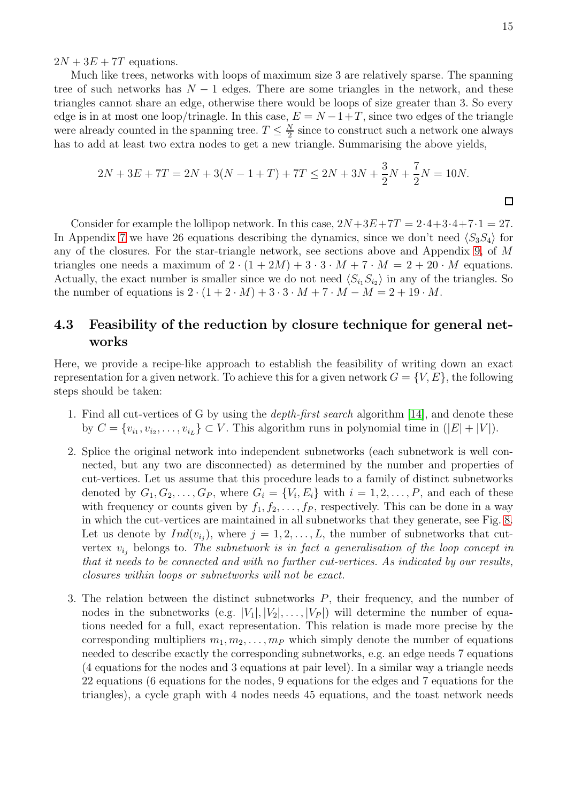$2N + 3E + 7T$  equations.

Much like trees, networks with loops of maximum size 3 are relatively sparse. The spanning tree of such networks has  $N-1$  edges. There are some triangles in the network, and these triangles cannot share an edge, otherwise there would be loops of size greater than 3. So every edge is in at most one loop/trinagle. In this case,  $E = N - 1 + T$ , since two edges of the triangle were already counted in the spanning tree.  $T \leq \frac{N}{2}$  $\frac{N}{2}$  since to construct such a network one always has to add at least two extra nodes to get a new triangle. Summarising the above yields,

$$
2N + 3E + 7T = 2N + 3(N - 1 + T) + 7T \le 2N + 3N + \frac{3}{2}N + \frac{7}{2}N = 10N.
$$

Consider for example the lollipop network. In this case,  $2N+3E+7T = 2.4+3.4+7.1 = 27$ . In Appendix [7](#page-20-0) we have 26 equations describing the dynamics, since we don't need  $\langle S_3S_4\rangle$  for any of the closures. For the star-triangle network, see sections above and Appendix [9,](#page-23-0) of M triangles one needs a maximum of  $2 \cdot (1 + 2M) + 3 \cdot 3 \cdot M + 7 \cdot M = 2 + 20 \cdot M$  equations. Actually, the exact number is smaller since we do not need  $\langle S_{i_1} S_{i_2} \rangle$  in any of the triangles. So the number of equations is  $2 \cdot (1 + 2 \cdot M) + 3 \cdot 3 \cdot M + 7 \cdot M - M = 2 + 19 \cdot M$ .

### 4.3 Feasibility of the reduction by closure technique for general networks

Here, we provide a recipe-like approach to establish the feasibility of writing down an exact representation for a given network. To achieve this for a given network  $G = \{V, E\}$ , the following steps should be taken:

- 1. Find all cut-vertices of G by using the depth-first search algorithm [\[14\]](#page-26-15), and denote these by  $C = \{v_{i_1}, v_{i_2}, \dots, v_{i_L}\} \subset V$ . This algorithm runs in polynomial time in  $(|E| + |V|)$ .
- 2. Splice the original network into independent subnetworks (each subnetwork is well connected, but any two are disconnected) as determined by the number and properties of cut-vertices. Let us assume that this procedure leads to a family of distinct subnetworks denoted by  $G_1, G_2, \ldots, G_P$ , where  $G_i = \{V_i, E_i\}$  with  $i = 1, 2, \ldots, P$ , and each of these with frequency or counts given by  $f_1, f_2, \ldots, f_p$ , respectively. This can be done in a way in which the cut-vertices are maintained in all subnetworks that they generate, see Fig. [8.](#page-17-0) Let us denote by  $Ind(v_{i_j})$ , where  $j = 1, 2, ..., L$ , the number of subnetworks that cutvertex  $v_{i}$ , belongs to. The subnetwork is in fact a generalisation of the loop concept in that it needs to be connected and with no further cut-vertices. As indicated by our results, closures within loops or subnetworks will not be exact.
- 3. The relation between the distinct subnetworks P, their frequency, and the number of nodes in the subnetworks (e.g.  $|V_1|, |V_2|, \ldots, |V_P|$ ) will determine the number of equations needed for a full, exact representation. This relation is made more precise by the corresponding multipliers  $m_1, m_2, \ldots, m_p$  which simply denote the number of equations needed to describe exactly the corresponding subnetworks, e.g. an edge needs 7 equations (4 equations for the nodes and 3 equations at pair level). In a similar way a triangle needs 22 equations (6 equations for the nodes, 9 equations for the edges and 7 equations for the triangles), a cycle graph with 4 nodes needs 45 equations, and the toast network needs

 $\Box$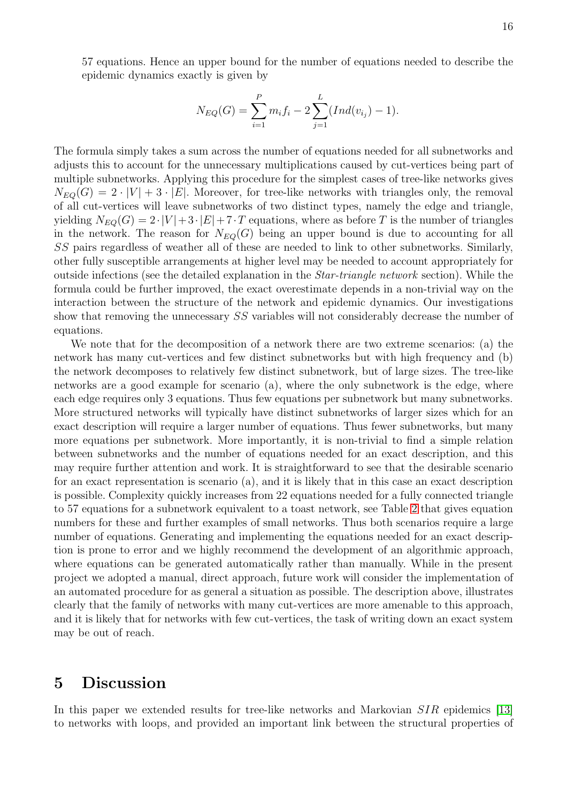57 equations. Hence an upper bound for the number of equations needed to describe the epidemic dynamics exactly is given by

$$
N_{EQ}(G) = \sum_{i=1}^{P} m_i f_i - 2 \sum_{j=1}^{L} (Ind(v_{i_j}) - 1).
$$

The formula simply takes a sum across the number of equations needed for all subnetworks and adjusts this to account for the unnecessary multiplications caused by cut-vertices being part of multiple subnetworks. Applying this procedure for the simplest cases of tree-like networks gives  $N_{EO}(G) = 2 \cdot |V| + 3 \cdot |E|$ . Moreover, for tree-like networks with triangles only, the removal of all cut-vertices will leave subnetworks of two distinct types, namely the edge and triangle, yielding  $N_{EO}(G) = 2 \cdot |V| + 3 \cdot |E| + 7 \cdot T$  equations, where as before T is the number of triangles in the network. The reason for  $N_{EQ}(G)$  being an upper bound is due to accounting for all SS pairs regardless of weather all of these are needed to link to other subnetworks. Similarly, other fully susceptible arrangements at higher level may be needed to account appropriately for outside infections (see the detailed explanation in the Star-triangle network section). While the formula could be further improved, the exact overestimate depends in a non-trivial way on the interaction between the structure of the network and epidemic dynamics. Our investigations show that removing the unnecessary SS variables will not considerably decrease the number of equations.

We note that for the decomposition of a network there are two extreme scenarios: (a) the network has many cut-vertices and few distinct subnetworks but with high frequency and (b) the network decomposes to relatively few distinct subnetwork, but of large sizes. The tree-like networks are a good example for scenario (a), where the only subnetwork is the edge, where each edge requires only 3 equations. Thus few equations per subnetwork but many subnetworks. More structured networks will typically have distinct subnetworks of larger sizes which for an exact description will require a larger number of equations. Thus fewer subnetworks, but many more equations per subnetwork. More importantly, it is non-trivial to find a simple relation between subnetworks and the number of equations needed for an exact description, and this may require further attention and work. It is straightforward to see that the desirable scenario for an exact representation is scenario (a), and it is likely that in this case an exact description is possible. Complexity quickly increases from 22 equations needed for a fully connected triangle to 57 equations for a subnetwork equivalent to a toast network, see Table [2](#page-18-0) that gives equation numbers for these and further examples of small networks. Thus both scenarios require a large number of equations. Generating and implementing the equations needed for an exact description is prone to error and we highly recommend the development of an algorithmic approach, where equations can be generated automatically rather than manually. While in the present project we adopted a manual, direct approach, future work will consider the implementation of an automated procedure for as general a situation as possible. The description above, illustrates clearly that the family of networks with many cut-vertices are more amenable to this approach, and it is likely that for networks with few cut-vertices, the task of writing down an exact system may be out of reach.

### 5 Discussion

In this paper we extended results for tree-like networks and Markovian SIR epidemics [\[13\]](#page-26-0) to networks with loops, and provided an important link between the structural properties of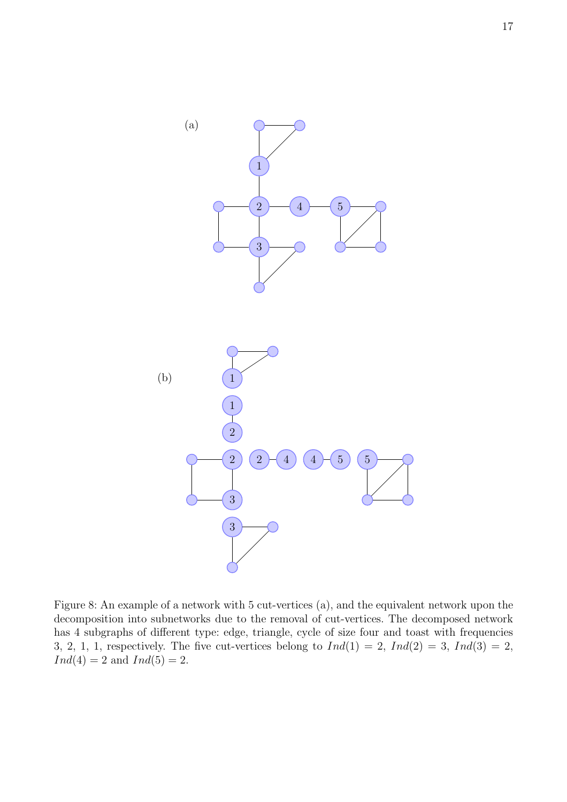

<span id="page-17-0"></span>Figure 8: An example of a network with 5 cut-vertices (a), and the equivalent network upon the decomposition into subnetworks due to the removal of cut-vertices. The decomposed network has 4 subgraphs of different type: edge, triangle, cycle of size four and toast with frequencies 3, 2, 1, 1, respectively. The five cut-vertices belong to  $Ind(1) = 2$ ,  $Ind(2) = 3$ ,  $Ind(3) = 2$ ,  $Ind(4) = 2$  and  $Ind(5) = 2$ .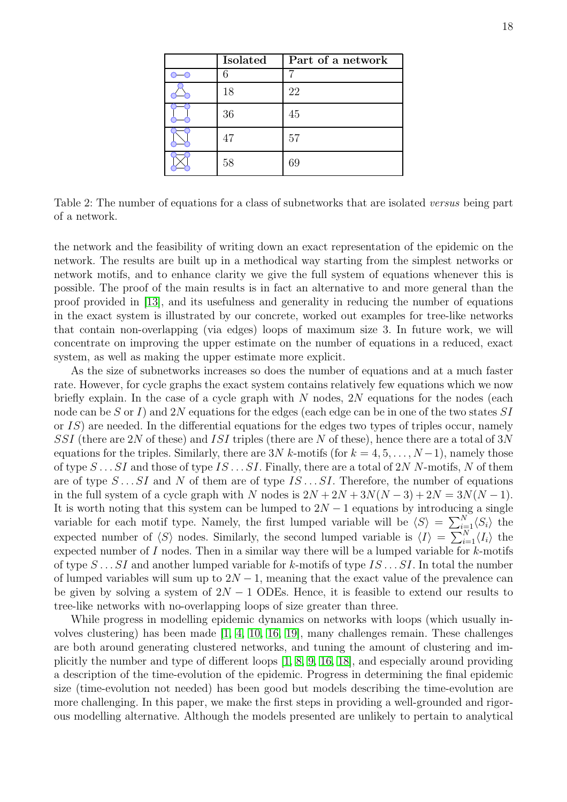| <b>Isolated</b> | Part of a network |
|-----------------|-------------------|
| 6               |                   |
| 18              | 22                |
| 36              | 45                |
| 47              | 57                |
| 58              | 69                |

<span id="page-18-0"></span>Table 2: The number of equations for a class of subnetworks that are isolated versus being part of a network.

the network and the feasibility of writing down an exact representation of the epidemic on the network. The results are built up in a methodical way starting from the simplest networks or network motifs, and to enhance clarity we give the full system of equations whenever this is possible. The proof of the main results is in fact an alternative to and more general than the proof provided in [\[13\]](#page-26-0), and its usefulness and generality in reducing the number of equations in the exact system is illustrated by our concrete, worked out examples for tree-like networks that contain non-overlapping (via edges) loops of maximum size 3. In future work, we will concentrate on improving the upper estimate on the number of equations in a reduced, exact system, as well as making the upper estimate more explicit.

As the size of subnetworks increases so does the number of equations and at a much faster rate. However, for cycle graphs the exact system contains relatively few equations which we now briefly explain. In the case of a cycle graph with  $N$  nodes,  $2N$  equations for the nodes (each node can be S or I) and 2N equations for the edges (each edge can be in one of the two states  $SI$ or  $IS$ ) are needed. In the differential equations for the edges two types of triples occur, namely SSI (there are 2N of these) and ISI triples (there are N of these), hence there are a total of 3N equations for the triples. Similarly, there are 3N k-motifs (for  $k = 4, 5, ..., N-1$ ), namely those of type  $S \dots SI$  and those of type  $IS \dots SI$ . Finally, there are a total of  $2N$  N-motifs, N of them are of type  $S \dots SI$  and N of them are of type  $IS \dots SI$ . Therefore, the number of equations in the full system of a cycle graph with N nodes is  $2N + 2N + 3N(N - 3) + 2N = 3N(N - 1)$ . It is worth noting that this system can be lumped to  $2N-1$  equations by introducing a single variable for each motif type. Namely, the first lumped variable will be  $\langle S \rangle = \sum_{i=1}^{N} \langle S_i \rangle$  the expected number of  $\langle S \rangle$  nodes. Similarly, the second lumped variable is  $\langle I \rangle = \sum_{i=1}^{N} \langle I_i \rangle$  the expected number of  $I$  nodes. Then in a similar way there will be a lumped variable for  $k$ -motifs of type  $S \dots SI$  and another lumped variable for k-motifs of type  $IS \dots SI$ . In total the number of lumped variables will sum up to  $2N-1$ , meaning that the exact value of the prevalence can be given by solving a system of  $2N - 1$  ODEs. Hence, it is feasible to extend our results to tree-like networks with no-overlapping loops of size greater than three.

While progress in modelling epidemic dynamics on networks with loops (which usually involves clustering) has been made [\[1,](#page-26-11) [4,](#page-26-12) [10,](#page-26-13) [16,](#page-26-16) [19\]](#page-27-0), many challenges remain. These challenges are both around generating clustered networks, and tuning the amount of clustering and implicitly the number and type of different loops [\[1,](#page-26-11) [8,](#page-26-17) [9,](#page-26-9) [16,](#page-26-16) [18\]](#page-26-10), and especially around providing a description of the time-evolution of the epidemic. Progress in determining the final epidemic size (time-evolution not needed) has been good but models describing the time-evolution are more challenging. In this paper, we make the first steps in providing a well-grounded and rigorous modelling alternative. Although the models presented are unlikely to pertain to analytical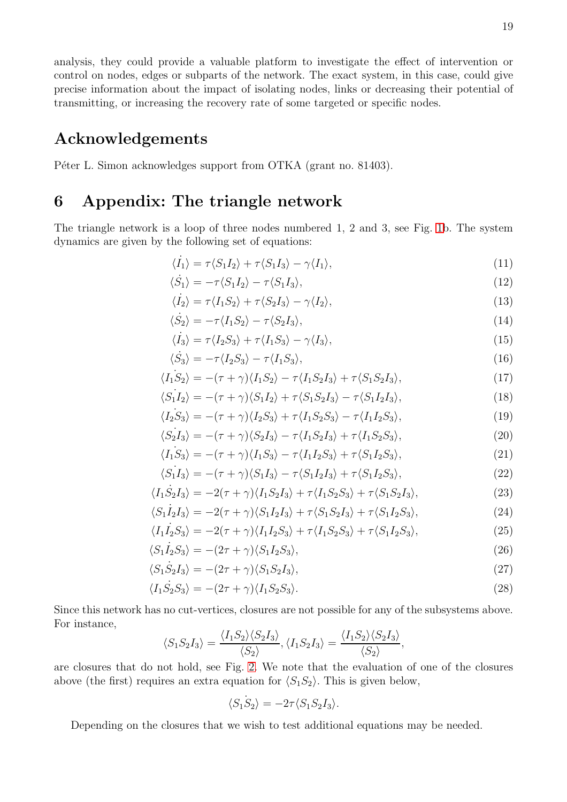analysis, they could provide a valuable platform to investigate the effect of intervention or control on nodes, edges or subparts of the network. The exact system, in this case, could give precise information about the impact of isolating nodes, links or decreasing their potential of transmitting, or increasing the recovery rate of some targeted or specific nodes.

## Acknowledgements

<span id="page-19-0"></span>Péter L. Simon acknowledges support from OTKA (grant no. 81403).

## 6 Appendix: The triangle network

The triangle network is a loop of three nodes numbered 1, 2 and 3, see Fig. [1b](#page-5-0). The system dynamics are given by the following set of equations:

$$
\langle I_1 \rangle = \tau \langle S_1 I_2 \rangle + \tau \langle S_1 I_3 \rangle - \gamma \langle I_1 \rangle, \tag{11}
$$

$$
\langle \dot{S}_1 \rangle = -\tau \langle S_1 I_2 \rangle - \tau \langle S_1 I_3 \rangle, \tag{12}
$$

$$
\langle I_2 \rangle = \tau \langle I_1 S_2 \rangle + \tau \langle S_2 I_3 \rangle - \gamma \langle I_2 \rangle, \tag{13}
$$

$$
\langle \dot{S}_2 \rangle = -\tau \langle I_1 S_2 \rangle - \tau \langle S_2 I_3 \rangle, \tag{14}
$$

$$
\langle I_3 \rangle = \tau \langle I_2 S_3 \rangle + \tau \langle I_1 S_3 \rangle - \gamma \langle I_3 \rangle, \tag{15}
$$

$$
\langle \dot{S}_3 \rangle = -\tau \langle I_2 S_3 \rangle - \tau \langle I_1 S_3 \rangle, \tag{16}
$$

$$
\langle I_1 S_2 \rangle = -(\tau + \gamma) \langle I_1 S_2 \rangle - \tau \langle I_1 S_2 I_3 \rangle + \tau \langle S_1 S_2 I_3 \rangle,
$$
\n
$$
\langle S_1 I_2 \rangle = -(\tau + \gamma) \langle S_1 I_2 \rangle + \tau \langle S_1 S_2 I_3 \rangle - \tau \langle S_1 I_2 I_3 \rangle
$$
\n(18)

$$
\langle S_1 I_2 \rangle = -(\tau + \gamma) \langle S_1 I_2 \rangle + \tau \langle S_1 S_2 I_3 \rangle - \tau \langle S_1 I_2 I_3 \rangle, \tag{18}
$$

$$
\langle I_2S_3 \rangle = -(\tau + \gamma)\langle I_2S_3 \rangle + \tau \langle I_1S_2S_3 \rangle - \tau \langle I_1I_2S_3 \rangle, \tag{19}
$$

$$
\langle S_2 I_3 \rangle = -(\tau + \gamma) \langle S_2 I_3 \rangle - \tau \langle I_1 S_2 I_3 \rangle + \tau \langle I_1 S_2 S_3 \rangle, \tag{20}
$$

$$
\langle I_1 S_3 \rangle = -(\tau + \gamma) \langle I_1 S_3 \rangle - \tau \langle I_1 I_2 S_3 \rangle + \tau \langle S_1 I_2 S_3 \rangle, \tag{21}
$$

$$
\langle S_1 I_3 \rangle = -(\tau + \gamma) \langle S_1 I_3 \rangle - \tau \langle S_1 I_2 I_3 \rangle + \tau \langle S_1 I_2 S_3 \rangle, \tag{22}
$$

$$
\langle I_1 \dot{S}_2 I_3 \rangle = -2(\tau + \gamma) \langle I_1 S_2 I_3 \rangle + \tau \langle I_1 S_2 S_3 \rangle + \tau \langle S_1 S_2 I_3 \rangle, \tag{23}
$$

$$
\langle S_1 \dot{I}_2 I_3 \rangle = -2(\tau + \gamma) \langle S_1 I_2 I_3 \rangle + \tau \langle S_1 S_2 I_3 \rangle + \tau \langle S_1 I_2 S_3 \rangle, \tag{24}
$$

$$
\langle I_1 I_2 S_3 \rangle = -2(\tau + \gamma) \langle I_1 I_2 S_3 \rangle + \tau \langle I_1 S_2 S_3 \rangle + \tau \langle S_1 I_2 S_3 \rangle, \tag{25}
$$

$$
\langle S_1 \dot{I}_2 S_3 \rangle = - (2\tau + \gamma) \langle S_1 I_2 S_3 \rangle, \tag{26}
$$

$$
\langle S_1 \dot{S}_2 I_3 \rangle = - (2\tau + \gamma) \langle S_1 S_2 I_3 \rangle, \tag{27}
$$

$$
\langle I_1 \dot{S}_2 S_3 \rangle = -(2\tau + \gamma) \langle I_1 S_2 S_3 \rangle. \tag{28}
$$

Since this network has no cut-vertices, closures are not possible for any of the subsystems above. For instance,  $\overline{I}$   $\overline{I}$   $\overline{I}$   $\overline{I}$  $\sqrt{1-\alpha}$   $\sqrt{1-\alpha}$ 

$$
\langle S_1 S_2 I_3 \rangle = \frac{\langle I_1 S_2 \rangle \langle S_2 I_3 \rangle}{\langle S_2 \rangle}, \langle I_1 S_2 I_3 \rangle = \frac{\langle I_1 S_2 \rangle \langle S_2 I_3 \rangle}{\langle S_2 \rangle},
$$

are closures that do not hold, see Fig. [2.](#page-6-0) We note that the evaluation of one of the closures above (the first) requires an extra equation for  $\langle S_1S_2\rangle$ . This is given below,

$$
\langle S_1 S_2 \rangle = -2\tau \langle S_1 S_2 I_3 \rangle.
$$

Depending on the closures that we wish to test additional equations may be needed.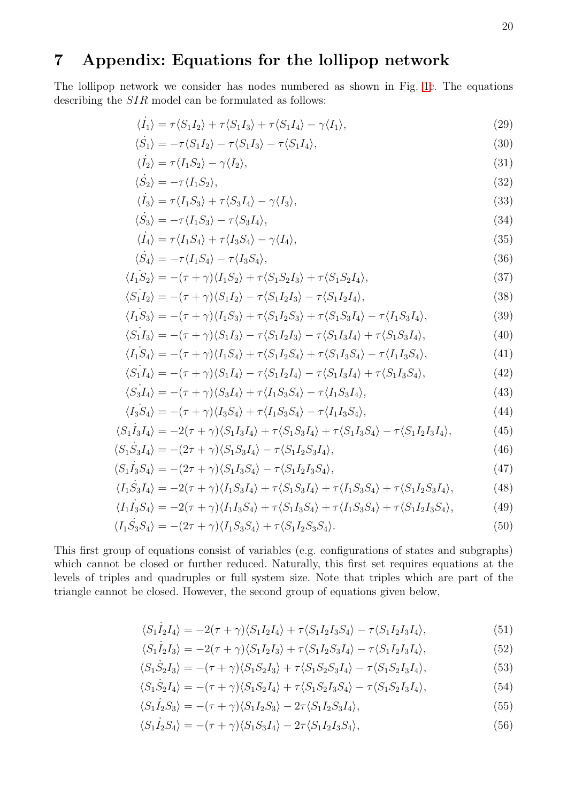## <span id="page-20-0"></span>7 Appendix: Equations for the lollipop network

<span id="page-20-1"></span> $\ddot{\phantom{a}}$ 

The lollipop network we consider has nodes numbered as shown in Fig. [1c](#page-5-0). The equations describing the SIR model can be formulated as follows:

$$
\langle I_1 \rangle = \tau \langle S_1 I_2 \rangle + \tau \langle S_1 I_3 \rangle + \tau \langle S_1 I_4 \rangle - \gamma \langle I_1 \rangle, \tag{29}
$$

$$
\langle S_1 \rangle = -\tau \langle S_1 I_2 \rangle - \tau \langle S_1 I_3 \rangle - \tau \langle S_1 I_4 \rangle, \tag{30}
$$

$$
\langle \dot{I}_2 \rangle = \tau \langle I_1 S_2 \rangle - \gamma \langle I_2 \rangle, \tag{31}
$$

$$
\langle \dot{S}_2 \rangle = -\tau \langle I_1 S_2 \rangle,\tag{32}
$$

$$
\langle \dot{I}_3 \rangle = \tau \langle I_1 S_3 \rangle + \tau \langle S_3 I_4 \rangle - \gamma \langle I_3 \rangle, \tag{33}
$$

$$
\langle \dot{S}_3 \rangle = -\tau \langle I_1 S_3 \rangle - \tau \langle S_3 I_4 \rangle,\tag{34}
$$

$$
\langle \dot{I}_4 \rangle = \tau \langle I_1 S_4 \rangle + \tau \langle I_3 S_4 \rangle - \gamma \langle I_4 \rangle, \tag{35}
$$

$$
\langle S_4 \rangle = -\tau \langle I_1 S_4 \rangle - \tau \langle I_3 S_4 \rangle, \tag{36}
$$

$$
\langle I_1 S_2 \rangle = -(\tau + \gamma) \langle I_1 S_2 \rangle + \tau \langle S_1 S_2 I_3 \rangle + \tau \langle S_1 S_2 I_4 \rangle, \tag{37}
$$

$$
\langle S_1 I_2 \rangle = -(\tau + \gamma) \langle S_1 I_2 \rangle - \tau \langle S_1 I_2 I_3 \rangle - \tau \langle S_1 I_2 I_4 \rangle, \tag{38}
$$

$$
\langle I_1 S_3 \rangle = -(\tau + \gamma) \langle I_1 S_3 \rangle + \tau \langle S_1 I_2 S_3 \rangle + \tau \langle S_1 S_3 I_4 \rangle - \tau \langle I_1 S_3 I_4 \rangle, \tag{39}
$$

$$
\langle S_1 I_3 \rangle = -(\tau + \gamma) \langle S_1 I_3 \rangle - \tau \langle S_1 I_2 I_3 \rangle - \tau \langle S_1 I_3 I_4 \rangle + \tau \langle S_1 S_3 I_4 \rangle, \tag{40}
$$

$$
\langle I_1 S_4 \rangle = -(\tau + \gamma) \langle I_1 S_4 \rangle + \tau \langle S_1 I_2 S_4 \rangle + \tau \langle S_1 I_3 S_4 \rangle - \tau \langle I_1 I_3 S_4 \rangle, \tag{41}
$$

$$
\langle S_1 I_4 \rangle = -(\tau + \gamma) \langle S_1 I_4 \rangle - \tau \langle S_1 I_2 I_4 \rangle - \tau \langle S_1 I_3 I_4 \rangle + \tau \langle S_1 I_3 S_4 \rangle, \tag{42}
$$

$$
\langle S_3 I_4 \rangle = -(\tau + \gamma) \langle S_3 I_4 \rangle + \tau \langle I_1 S_3 S_4 \rangle - \tau \langle I_1 S_3 I_4 \rangle, \tag{43}
$$

$$
\langle I_3 S_4 \rangle = -(\tau + \gamma) \langle I_3 S_4 \rangle + \tau \langle I_1 S_3 S_4 \rangle - \tau \langle I_1 I_3 S_4 \rangle, \tag{44}
$$

$$
\langle S_1 \dot{I}_3 I_4 \rangle = -2(\tau + \gamma) \langle S_1 I_3 I_4 \rangle + \tau \langle S_1 S_3 I_4 \rangle + \tau \langle S_1 I_3 S_4 \rangle - \tau \langle S_1 I_2 I_3 I_4 \rangle, \tag{45}
$$

$$
\langle S_1 \dot{S}_3 I_4 \rangle = - (2\tau + \gamma) \langle S_1 S_3 I_4 \rangle - \tau \langle S_1 I_2 S_3 I_4 \rangle, \tag{46}
$$

$$
\langle S_1 \dot{I}_3 S_4 \rangle = -(2\tau + \gamma) \langle S_1 I_3 S_4 \rangle - \tau \langle S_1 I_2 I_3 S_4 \rangle, \tag{47}
$$

$$
\langle I_1 \dot{S}_3 I_4 \rangle = -2(\tau + \gamma) \langle I_1 S_3 I_4 \rangle + \tau \langle S_1 S_3 I_4 \rangle + \tau \langle I_1 S_3 S_4 \rangle + \tau \langle S_1 I_2 S_3 I_4 \rangle, \tag{48}
$$

$$
\langle I_1 \dot{I}_3 S_4 \rangle = -2(\tau + \gamma) \langle I_1 I_3 S_4 \rangle + \tau \langle S_1 I_3 S_4 \rangle + \tau \langle I_1 S_3 S_4 \rangle + \tau \langle S_1 I_2 I_3 S_4 \rangle, \tag{49}
$$

$$
\langle I_1 S_3 S_4 \rangle = -(2\tau + \gamma) \langle I_1 S_3 S_4 \rangle + \tau \langle S_1 I_2 S_3 S_4 \rangle. \tag{50}
$$

This first group of equations consist of variables (e.g. configurations of states and subgraphs) which cannot be closed or further reduced. Naturally, this first set requires equations at the levels of triples and quadruples or full system size. Note that triples which are part of the triangle cannot be closed. However, the second group of equations given below,

<span id="page-20-3"></span><span id="page-20-2"></span>
$$
\langle S_1 \dot{I}_2 I_4 \rangle = -2(\tau + \gamma) \langle S_1 I_2 I_4 \rangle + \tau \langle S_1 I_2 I_3 S_4 \rangle - \tau \langle S_1 I_2 I_3 I_4 \rangle, \tag{51}
$$

$$
\langle S_1 I_2 I_3 \rangle = -2(\tau + \gamma) \langle S_1 I_2 I_3 \rangle + \tau \langle S_1 I_2 S_3 I_4 \rangle - \tau \langle S_1 I_2 I_3 I_4 \rangle, \tag{52}
$$

$$
\langle S_1 S_2 I_3 \rangle = -(\tau + \gamma) \langle S_1 S_2 I_3 \rangle + \tau \langle S_1 S_2 S_3 I_4 \rangle - \tau \langle S_1 S_2 I_3 I_4 \rangle, \tag{53}
$$

$$
\langle S_1 S_2 I_4 \rangle = -(\tau + \gamma) \langle S_1 S_2 I_4 \rangle + \tau \langle S_1 S_2 I_3 S_4 \rangle - \tau \langle S_1 S_2 I_3 I_4 \rangle, \tag{54}
$$

$$
\langle S_1 I_2 S_3 \rangle = -(\tau + \gamma) \langle S_1 I_2 S_3 \rangle - 2\tau \langle S_1 I_2 S_3 I_4 \rangle,\tag{55}
$$

$$
\langle S_1 I_2 S_4 \rangle = -(\tau + \gamma) \langle S_1 S_3 I_4 \rangle - 2\tau \langle S_1 I_2 I_3 S_4 \rangle, \tag{56}
$$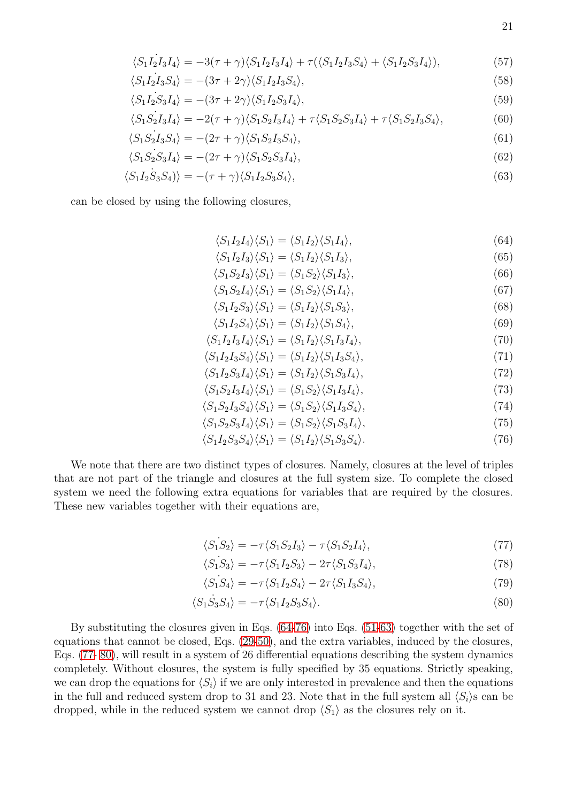$$
\langle S_1 I_2 I_3 I_4 \rangle = -3(\tau + \gamma) \langle S_1 I_2 I_3 I_4 \rangle + \tau (\langle S_1 I_2 I_3 S_4 \rangle + \langle S_1 I_2 S_3 I_4 \rangle), \tag{57}
$$

$$
\langle S_1 I_2 I_3 S_4 \rangle = -(3\tau + 2\gamma)\langle S_1 I_2 I_3 S_4 \rangle,\tag{58}
$$

$$
\langle S_1 I_2 S_3 I_4 \rangle = -(3\tau + 2\gamma)\langle S_1 I_2 S_3 I_4 \rangle, \tag{59}
$$

$$
\langle S_1 S_2 I_3 I_4 \rangle = -2(\tau + \gamma) \langle S_1 S_2 I_3 I_4 \rangle + \tau \langle S_1 S_2 S_3 I_4 \rangle + \tau \langle S_1 S_2 I_3 S_4 \rangle, \tag{60}
$$

$$
\langle S_1 S_2 I_3 S_4 \rangle = - (2\tau + \gamma) \langle S_1 S_2 I_3 S_4 \rangle, \tag{61}
$$

$$
\langle S_1 S_2 S_3 I_4 \rangle = - (2\tau + \gamma) \langle S_1 S_2 S_3 I_4 \rangle, \tag{62}
$$

$$
\langle S_1 I_2 S_3 S_4 \rangle = -(\tau + \gamma) \langle S_1 I_2 S_3 S_4 \rangle, \tag{63}
$$

can be closed by using the following closures,

<span id="page-21-3"></span><span id="page-21-0"></span>
$$
\langle S_1 I_2 I_4 \rangle \langle S_1 \rangle = \langle S_1 I_2 \rangle \langle S_1 I_4 \rangle, \tag{64}
$$

$$
\langle S_1 I_2 I_3 \rangle \langle S_1 \rangle = \langle S_1 I_2 \rangle \langle S_1 I_3 \rangle,
$$
  

$$
\langle S_1 S_2 I_3 \rangle \langle S_1 \rangle = \langle S_1 S_2 \rangle \langle S_1 I_3 \rangle.
$$
  
(66)

$$
\langle S_1 S_2 I_4 \rangle \langle S_1 \rangle = \langle S_1 S_2 \rangle \langle S_1 I_4 \rangle, \tag{67}
$$

$$
\langle S_1 I_2 S_3 \rangle \langle S_1 \rangle = \langle S_1 I_2 \rangle \langle S_1 S_3 \rangle, \tag{68}
$$

$$
\langle S_1 I_2 S_4 \rangle \langle S_1 \rangle = \langle S_1 I_2 \rangle \langle S_1 S_4 \rangle, \tag{69}
$$

$$
\langle S_1 I_2 I_3 I_4 \rangle \langle S_1 \rangle = \langle S_1 I_2 \rangle \langle S_1 I_3 I_4 \rangle, \tag{70}
$$

$$
\langle S_1 I_2 I_3 S_4 \rangle \langle S_1 \rangle = \langle S_1 I_2 \rangle \langle S_1 I_3 S_4 \rangle, \tag{71}
$$

$$
\langle S_1 I_2 S_3 I_4 \rangle \langle S_1 \rangle = \langle S_1 I_2 \rangle \langle S_1 S_3 I_4 \rangle, \tag{72}
$$

$$
\langle S_1 S_2 I_3 I_4 \rangle \langle S_1 \rangle = \langle S_1 S_2 \rangle \langle S_1 I_3 I_4 \rangle, \tag{73}
$$

$$
\langle S_1 S_2 I_3 S_4 \rangle \langle S_1 \rangle = \langle S_1 S_2 \rangle \langle S_1 I_3 S_4 \rangle, \tag{74}
$$

$$
\langle S_1 S_2 S_3 I_4 \rangle \langle S_1 \rangle = \langle S_1 S_2 \rangle \langle S_1 S_3 I_4 \rangle, \tag{75}
$$

<span id="page-21-4"></span>
$$
\langle S_1 I_2 S_3 S_4 \rangle \langle S_1 \rangle = \langle S_1 I_2 \rangle \langle S_1 S_3 S_4 \rangle. \tag{76}
$$

We note that there are two distinct types of closures. Namely, closures at the level of triples that are not part of the triangle and closures at the full system size. To complete the closed system we need the following extra equations for variables that are required by the closures. These new variables together with their equations are,

<span id="page-21-1"></span>
$$
\langle S_1 S_2 \rangle = -\tau \langle S_1 S_2 I_3 \rangle - \tau \langle S_1 S_2 I_4 \rangle, \tag{77}
$$

<span id="page-21-2"></span>
$$
\langle S_1 S_3 \rangle = -\tau \langle S_1 I_2 S_3 \rangle - 2\tau \langle S_1 S_3 I_4 \rangle, \tag{78}
$$

$$
\langle S_1 S_4 \rangle = -\tau \langle S_1 I_2 S_4 \rangle - 2\tau \langle S_1 I_3 S_4 \rangle, \tag{79}
$$

$$
\langle S_1 \dot{S}_3 S_4 \rangle = -\tau \langle S_1 I_2 S_3 S_4 \rangle. \tag{80}
$$

By substituting the closures given in Eqs. [\(64](#page-21-3)[-76\)](#page-21-4) into Eqs. [\(51](#page-20-3)[-63\)](#page-21-0) together with the set of equations that cannot be closed, Eqs. [\(29](#page-20-1)[-50\)](#page-20-2), and the extra variables, induced by the closures, Eqs. [\(77-](#page-21-1) [80\)](#page-21-2), will result in a system of 26 differential equations describing the system dynamics completely. Without closures, the system is fully specified by 35 equations. Strictly speaking, we can drop the equations for  $\langle S_i \rangle$  if we are only interested in prevalence and then the equations in the full and reduced system drop to 31 and 23. Note that in the full system all  $\langle S_i \rangle$ s can be dropped, while in the reduced system we cannot drop  $\langle S_1 \rangle$  as the closures rely on it.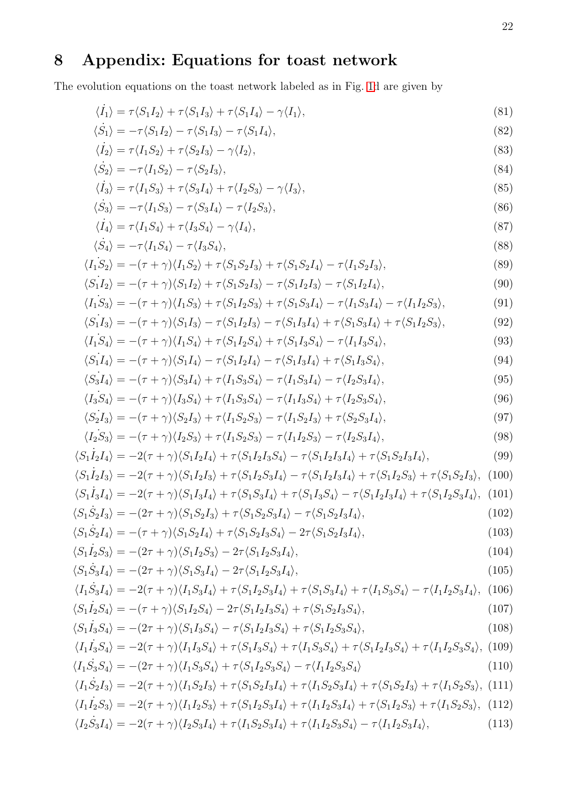## <span id="page-22-0"></span>8 Appendix: Equations for toast network

 $\overline{\phantom{a}}$ 

The evolution equations on the toast network labeled as in Fig. [1d](#page-5-0) are given by

$$
\langle I_1 \rangle = \tau \langle S_1 I_2 \rangle + \tau \langle S_1 I_3 \rangle + \tau \langle S_1 I_4 \rangle - \gamma \langle I_1 \rangle, \tag{81}
$$

$$
\langle S_1 \rangle = -\tau \langle S_1 I_2 \rangle - \tau \langle S_1 I_3 \rangle - \tau \langle S_1 I_4 \rangle, \tag{82}
$$

$$
\langle I_2 \rangle = \tau \langle I_1 S_2 \rangle + \tau \langle S_2 I_3 \rangle - \gamma \langle I_2 \rangle, \tag{83}
$$

$$
\langle \dot{S}_2 \rangle = -\tau \langle I_1 S_2 \rangle - \tau \langle S_2 I_3 \rangle, \tag{84}
$$

$$
\langle \dot{I}_3 \rangle = \tau \langle I_1 S_3 \rangle + \tau \langle S_3 I_4 \rangle + \tau \langle I_2 S_3 \rangle - \gamma \langle I_3 \rangle, \tag{85}
$$

$$
\langle \dot{S}_3 \rangle = -\tau \langle I_1 S_3 \rangle - \tau \langle S_3 I_4 \rangle - \tau \langle I_2 S_3 \rangle, \tag{86}
$$

$$
\langle I_4 \rangle = \tau \langle I_1 S_4 \rangle + \tau \langle I_3 S_4 \rangle - \gamma \langle I_4 \rangle, \tag{87}
$$

$$
\langle \dot{S}_4 \rangle = -\tau \langle I_1 S_4 \rangle - \tau \langle I_3 S_4 \rangle, \tag{88}
$$

$$
\langle I_1 S_2 \rangle = -(\tau + \gamma) \langle I_1 S_2 \rangle + \tau \langle S_1 S_2 I_3 \rangle + \tau \langle S_1 S_2 I_4 \rangle - \tau \langle I_1 S_2 I_3 \rangle, \tag{89}
$$

$$
\langle S_1 I_2 \rangle = -(\tau + \gamma) \langle S_1 I_2 \rangle + \tau \langle S_1 S_2 I_3 \rangle - \tau \langle S_1 I_2 I_3 \rangle - \tau \langle S_1 I_2 I_4 \rangle, \tag{90}
$$

$$
\langle I_1 S_3 \rangle = -(\tau + \gamma) \langle I_1 S_3 \rangle + \tau \langle S_1 I_2 S_3 \rangle + \tau \langle S_1 S_3 I_4 \rangle - \tau \langle I_1 S_3 I_4 \rangle - \tau \langle I_1 I_2 S_3 \rangle, \tag{91}
$$

$$
\langle S_1 I_3 \rangle = -(\tau + \gamma) \langle S_1 I_3 \rangle - \tau \langle S_1 I_2 I_3 \rangle - \tau \langle S_1 I_3 I_4 \rangle + \tau \langle S_1 S_3 I_4 \rangle + \tau \langle S_1 I_2 S_3 \rangle, \tag{92}
$$

$$
\langle I_1 S_4 \rangle = -(\tau + \gamma) \langle I_1 S_4 \rangle + \tau \langle S_1 I_2 S_4 \rangle + \tau \langle S_1 I_3 S_4 \rangle - \tau \langle I_1 I_3 S_4 \rangle, \tag{93}
$$

$$
\langle S_1 I_4 \rangle = -(\tau + \gamma) \langle S_1 I_4 \rangle - \tau \langle S_1 I_2 I_4 \rangle - \tau \langle S_1 I_3 I_4 \rangle + \tau \langle S_1 I_3 S_4 \rangle, \tag{94}
$$

$$
\langle S_3 I_4 \rangle = -(\tau + \gamma) \langle S_3 I_4 \rangle + \tau \langle I_1 S_3 S_4 \rangle - \tau \langle I_1 S_3 I_4 \rangle - \tau \langle I_2 S_3 I_4 \rangle, \tag{95}
$$

$$
\langle I_3S_4 \rangle = -(\tau + \gamma)\langle I_3S_4 \rangle + \tau \langle I_1S_3S_4 \rangle - \tau \langle I_1I_3S_4 \rangle + \tau \langle I_2S_3S_4 \rangle, \tag{96}
$$

$$
\langle S_2 I_3 \rangle = -(\tau + \gamma) \langle S_2 I_3 \rangle + \tau \langle I_1 S_2 S_3 \rangle - \tau \langle I_1 S_2 I_3 \rangle + \tau \langle S_2 S_3 I_4 \rangle, \tag{97}
$$

$$
\langle I_2S_3 \rangle = -(\tau + \gamma)\langle I_2S_3 \rangle + \tau \langle I_1S_2S_3 \rangle - \tau \langle I_1I_2S_3 \rangle - \tau \langle I_2S_3I_4 \rangle, \tag{98}
$$

$$
\langle S_1 \dot{I}_2 I_4 \rangle = -2(\tau + \gamma) \langle S_1 I_2 I_4 \rangle + \tau \langle S_1 I_2 I_3 S_4 \rangle - \tau \langle S_1 I_2 I_3 I_4 \rangle + \tau \langle S_1 S_2 I_3 I_4 \rangle, \tag{99}
$$
  

$$
\langle S_1 \dot{I}_2 I_3 \rangle = -2(\tau + \gamma) \langle S_1 I_2 I_3 \rangle + \tau \langle S_1 I_2 S_3 I_4 \rangle - \tau \langle S_1 I_2 I_3 I_4 \rangle + \tau \langle S_1 I_2 S_3 \rangle + \tau \langle S_1 S_2 I_3 \rangle, \tag{100}
$$

$$
\langle S_1 I_3 I_4 \rangle = -2(\tau + \gamma) \langle S_1 I_3 I_4 \rangle + \tau \langle S_1 S_3 I_4 \rangle + \tau \langle S_1 I_3 S_4 \rangle - \tau \langle S_1 I_2 I_3 I_4 \rangle + \tau \langle S_1 I_2 S_3 I_4 \rangle, \tag{101}
$$

$$
\langle S_1 \dot{S}_2 I_3 \rangle = -(2\tau + \gamma) \langle S_1 S_2 I_3 \rangle + \tau \langle S_1 S_2 S_3 I_4 \rangle - \tau \langle S_1 S_2 I_3 I_4 \rangle, \tag{102}
$$

$$
\langle S_1 \dot{S}_2 I_4 \rangle = -(\tau + \gamma) \langle S_1 S_2 I_4 \rangle + \tau \langle S_1 S_2 I_3 S_4 \rangle - 2\tau \langle S_1 S_2 I_3 I_4 \rangle, \tag{103}
$$

$$
\langle S_1 \dot{I}_2 S_3 \rangle = - (2\tau + \gamma) \langle S_1 I_2 S_3 \rangle - 2\tau \langle S_1 I_2 S_3 I_4 \rangle, \tag{104}
$$

$$
\langle S_1 \dot{S}_3 I_4 \rangle = -(2\tau + \gamma) \langle S_1 S_3 I_4 \rangle - 2\tau \langle S_1 I_2 S_3 I_4 \rangle, \tag{105}
$$

$$
\langle I_1 S_3 I_4 \rangle = -2(\tau + \gamma) \langle I_1 S_3 I_4 \rangle + \tau \langle S_1 I_2 S_3 I_4 \rangle + \tau \langle S_1 S_3 I_4 \rangle + \tau \langle I_1 S_3 S_4 \rangle - \tau \langle I_1 I_2 S_3 I_4 \rangle, \tag{106}
$$

$$
\langle S_1 \dot{I}_2 S_4 \rangle = -(\tau + \gamma) \langle S_1 I_2 S_4 \rangle - 2\tau \langle S_1 I_2 I_3 S_4 \rangle + \tau \langle S_1 S_2 I_3 S_4 \rangle, \tag{107}
$$
  

$$
\langle S_1 \dot{I}_2 S_4 \rangle = -(2\tau + \gamma) \langle S_1 I_2 S_4 \rangle - \tau \langle S_1 I_2 I_3 S_4 \rangle + \tau \langle S_1 I_2 S_2 S_4 \rangle \tag{108}
$$

$$
\langle S_1 I_3 S_4 \rangle = - (2\tau + \gamma) \langle S_1 I_3 S_4 \rangle - \tau \langle S_1 I_2 I_3 S_4 \rangle + \tau \langle S_1 I_2 S_3 S_4 \rangle, \tag{108}
$$

$$
\langle I_1 \dot{I}_3 S_4 \rangle = -2(\tau + \gamma) \langle I_1 I_3 S_4 \rangle + \tau \langle S_1 I_3 S_4 \rangle + \tau \langle I_1 S_3 S_4 \rangle + \tau \langle S_1 I_2 I_3 S_4 \rangle + \tau \langle I_1 I_2 S_3 S_4 \rangle, (109)
$$
  

$$
\langle I_1 \dot{S}_3 S_4 \rangle = -(2\tau + \gamma) \langle I_1 S_3 S_4 \rangle + \tau \langle S_1 I_2 S_3 S_4 \rangle - \tau \langle I_1 I_2 S_3 S_4 \rangle
$$
 (110)

$$
\langle I_1 \dot{S}_2 I_3 \rangle = -2(\tau + \gamma) \langle I_1 S_2 I_3 \rangle + \tau \langle S_1 S_2 I_3 I_4 \rangle + \tau \langle I_1 S_2 S_3 I_4 \rangle + \tau \langle S_1 S_2 I_3 \rangle + \tau \langle I_1 S_2 S_3 \rangle, \tag{111}
$$

$$
\langle I_1 \dot{I}_2 S_3 \rangle = -2(\tau + \gamma) \langle I_1 I_2 S_3 \rangle + \tau \langle S_1 I_2 S_3 I_4 \rangle + \tau \langle I_1 I_2 S_3 I_4 \rangle + \tau \langle S_1 I_2 S_3 \rangle + \tau \langle I_1 S_2 S_3 \rangle, \tag{112}
$$

$$
\langle I_2 \dot{S}_3 I_4 \rangle = -2(\tau + \gamma) \langle I_2 S_3 I_4 \rangle + \tau \langle I_1 S_2 S_3 I_4 \rangle + \tau \langle I_1 I_2 S_3 S_4 \rangle - \tau \langle I_1 I_2 S_3 I_4 \rangle, \tag{113}
$$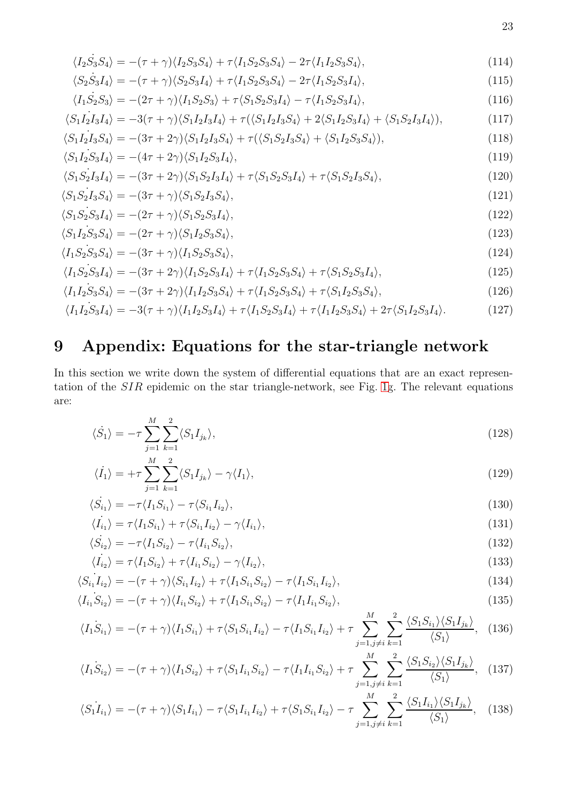$$
\langle I_2 S_3 S_4 \rangle = -(\tau + \gamma) \langle I_2 S_3 S_4 \rangle + \tau \langle I_1 S_2 S_3 S_4 \rangle - 2\tau \langle I_1 I_2 S_3 S_4 \rangle, \tag{114}
$$

$$
\langle S_2 \dot{S}_3 I_4 \rangle = -(\tau + \gamma) \langle S_2 S_3 I_4 \rangle + \tau \langle I_1 S_2 S_3 S_4 \rangle - 2\tau \langle I_1 S_2 S_3 I_4 \rangle, \tag{115}
$$

$$
\langle I_1 \dot{S}_2 S_3 \rangle = -(2\tau + \gamma) \langle I_1 S_2 S_3 \rangle + \tau \langle S_1 S_2 S_3 I_4 \rangle - \tau \langle I_1 S_2 S_3 I_4 \rangle, \tag{116}
$$

$$
\langle S_1 I_2 I_3 I_4 \rangle = -3(\tau + \gamma) \langle S_1 I_2 I_3 I_4 \rangle + \tau (\langle S_1 I_2 I_3 S_4 \rangle + 2 \langle S_1 I_2 S_3 I_4 \rangle + \langle S_1 S_2 I_3 I_4 \rangle), \tag{117}
$$

$$
\langle S_1 I_2 I_3 S_4 \rangle = - (3\tau + 2\gamma) \langle S_1 I_2 I_3 S_4 \rangle + \tau (\langle S_1 S_2 I_3 S_4 \rangle + \langle S_1 I_2 S_3 S_4 \rangle), \tag{118}
$$

$$
\langle S_1 I_2 S_3 I_4 \rangle = - (4\tau + 2\gamma) \langle S_1 I_2 S_3 I_4 \rangle,\tag{119}
$$

$$
\langle S_1 S_2 I_3 I_4 \rangle = - (3\tau + 2\gamma) \langle S_1 S_2 I_3 I_4 \rangle + \tau \langle S_1 S_2 S_3 I_4 \rangle + \tau \langle S_1 S_2 I_3 S_4 \rangle, \tag{120}
$$

$$
\langle S_1 S_2 I_3 S_4 \rangle = - (3\tau + \gamma) \langle S_1 S_2 I_3 S_4 \rangle, \tag{121}
$$

$$
\langle S_1 S_2 S_3 I_4 \rangle = - (2\tau + \gamma) \langle S_1 S_2 S_3 I_4 \rangle, \tag{122}
$$

$$
\langle S_1 I_2 S_3 S_4 \rangle = - (2\tau + \gamma) \langle S_1 I_2 S_3 S_4 \rangle, \tag{123}
$$

$$
\langle I_1 S_2 S_3 S_4 \rangle = - (3\tau + \gamma) \langle I_1 S_2 S_3 S_4 \rangle, \tag{124}
$$

$$
\langle I_1 S_2 S_3 I_4 \rangle = - (3\tau + 2\gamma) \langle I_1 S_2 S_3 I_4 \rangle + \tau \langle I_1 S_2 S_3 S_4 \rangle + \tau \langle S_1 S_2 S_3 I_4 \rangle, \tag{125}
$$

$$
\langle I_1 I_2 S_3 S_4 \rangle = - (3\tau + 2\gamma) \langle I_1 I_2 S_3 S_4 \rangle + \tau \langle I_1 S_2 S_3 S_4 \rangle + \tau \langle S_1 I_2 S_3 S_4 \rangle, \tag{126}
$$

$$
\langle I_1 I_2 S_3 I_4 \rangle = -3(\tau + \gamma) \langle I_1 I_2 S_3 I_4 \rangle + \tau \langle I_1 S_2 S_3 I_4 \rangle + \tau \langle I_1 I_2 S_3 S_4 \rangle + 2\tau \langle S_1 I_2 S_3 I_4 \rangle. \tag{127}
$$

## <span id="page-23-0"></span>9 Appendix: Equations for the star-triangle network

In this section we write down the system of differential equations that are an exact representation of the SIR epidemic on the star triangle-network, see Fig. [1g](#page-5-0). The relevant equations are:

$$
\langle \dot{S}_1 \rangle = -\tau \sum_{j=1}^{M} \sum_{k=1}^{2} \langle S_1 I_{j_k} \rangle, \tag{128}
$$

$$
\langle \dot{I}_1 \rangle = +\tau \sum_{j=1}^{M} \sum_{k=1}^{2} \langle S_1 I_{j_k} \rangle - \gamma \langle I_1 \rangle, \tag{129}
$$

$$
\langle \dot{S}_{i_1} \rangle = -\tau \langle I_1 S_{i_1} \rangle - \tau \langle S_{i_1} I_{i_2} \rangle, \tag{130}
$$

$$
\langle I_{i_1} \rangle = \tau \langle I_1 S_{i_1} \rangle + \tau \langle S_{i_1} I_{i_2} \rangle - \gamma \langle I_{i_1} \rangle, \tag{131}
$$

<span id="page-23-1"></span>
$$
\langle \dot{S}_{i_2} \rangle = -\tau \langle I_1 S_{i_2} \rangle - \tau \langle I_{i_1} S_{i_2} \rangle, \tag{132}
$$

$$
\langle I_{i_2} \rangle = \tau \langle I_1 S_{i_2} \rangle + \tau \langle I_{i_1} S_{i_2} \rangle - \gamma \langle I_{i_2} \rangle, \tag{133}
$$

$$
\langle S_{i_1} I_{i_2} \rangle = -(\tau + \gamma) \langle S_{i_1} I_{i_2} \rangle + \tau \langle I_1 S_{i_1} S_{i_2} \rangle - \tau \langle I_1 S_{i_1} I_{i_2} \rangle, \tag{134}
$$

$$
\langle I_{i_1} S_{i_2} \rangle = -(\tau + \gamma) \langle I_{i_1} S_{i_2} \rangle + \tau \langle I_1 S_{i_1} S_{i_2} \rangle - \tau \langle I_1 I_{i_1} S_{i_2} \rangle, \tag{135}
$$

$$
\langle I_1 S_{i_1} \rangle = -(\tau + \gamma) \langle I_1 S_{i_1} \rangle + \tau \langle S_1 S_{i_1} I_{i_2} \rangle - \tau \langle I_1 S_{i_1} I_{i_2} \rangle + \tau \sum_{j=1, j \neq i}^{M} \sum_{k=1}^{2} \frac{\langle S_1 S_{i_1} \rangle \langle S_1 I_{j_k} \rangle}{\langle S_1 \rangle}, \quad (136)
$$

$$
\langle I_1 S_{i_2} \rangle = -(\tau + \gamma) \langle I_1 S_{i_2} \rangle + \tau \langle S_1 I_{i_1} S_{i_2} \rangle - \tau \langle I_1 I_{i_1} S_{i_2} \rangle + \tau \sum_{j=1, j \neq i}^{M} \sum_{k=1}^{2} \frac{\langle S_1 S_{i_2} \rangle \langle S_1 I_{j_k} \rangle}{\langle S_1 \rangle}, \quad (137)
$$

$$
\langle S_1 \dot{I}_{i_1} \rangle = -(\tau + \gamma) \langle S_1 I_{i_1} \rangle - \tau \langle S_1 I_{i_1} I_{i_2} \rangle + \tau \langle S_1 S_{i_1} I_{i_2} \rangle - \tau \sum_{j=1, j \neq i}^{M} \sum_{k=1}^{2} \frac{\langle S_1 I_{i_1} \rangle \langle S_1 I_{j_k} \rangle}{\langle S_1 \rangle}, \quad (138)
$$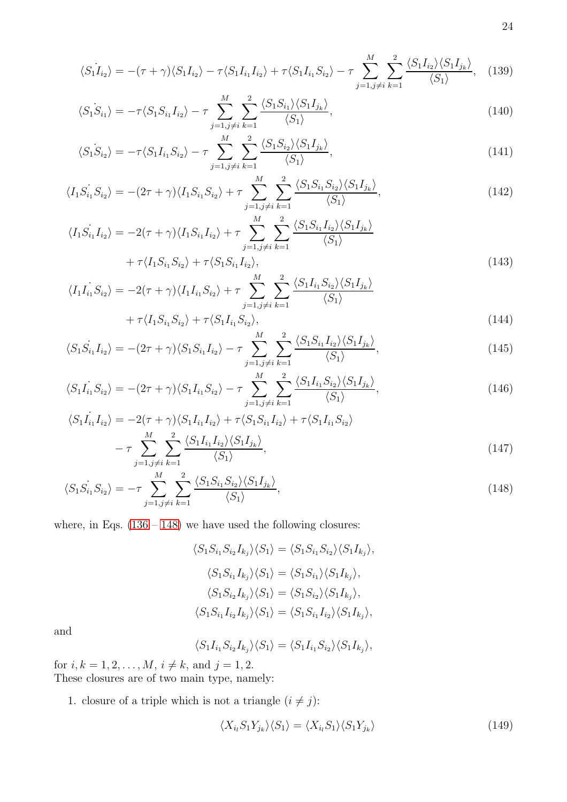$$
\langle S_1 I_{i_2} \rangle = -(\tau + \gamma) \langle S_1 I_{i_2} \rangle - \tau \langle S_1 I_{i_1} I_{i_2} \rangle + \tau \langle S_1 I_{i_1} S_{i_2} \rangle - \tau \sum_{j=1, j \neq i}^{M} \sum_{k=1}^{2} \frac{\langle S_1 I_{i_2} \rangle \langle S_1 I_{j_k} \rangle}{\langle S_1 \rangle}, \quad (139)
$$

$$
\langle S_1 S_{i_1} \rangle = -\tau \langle S_1 S_{i_1} I_{i_2} \rangle - \tau \sum_{j=1, j \neq i}^{M} \sum_{k=1}^{2} \frac{\langle S_1 S_{i_1} \rangle \langle S_1 I_{j_k} \rangle}{\langle S_1 \rangle},\tag{140}
$$

$$
\langle S_1 S_{i_2} \rangle = -\tau \langle S_1 I_{i_1} S_{i_2} \rangle - \tau \sum_{j=1, j \neq i}^{M} \sum_{k=1}^{2} \frac{\langle S_1 S_{i_2} \rangle \langle S_1 I_{j_k} \rangle}{\langle S_1 \rangle}, \tag{141}
$$

$$
\langle I_1 S_{i_1} S_{i_2} \rangle = -(2\tau + \gamma) \langle I_1 S_{i_1} S_{i_2} \rangle + \tau \sum_{j=1, j \neq i}^{M} \sum_{k=1}^{2} \frac{\langle S_1 S_{i_1} S_{i_2} \rangle \langle S_1 I_{j_k} \rangle}{\langle S_1 \rangle},\tag{142}
$$

$$
\langle I_1 S_{i_1} I_{i_2} \rangle = -2(\tau + \gamma) \langle I_1 S_{i_1} I_{i_2} \rangle + \tau \sum_{j=1, j \neq i}^{M} \sum_{k=1}^{2} \frac{\langle S_1 S_{i_1} I_{i_2} \rangle \langle S_1 I_{j_k} \rangle}{\langle S_1 \rangle} + \tau \langle I_1 S_{i_1} S_{i_2} \rangle + \tau \langle S_1 S_{i_1} I_{i_2} \rangle, \tag{143}
$$

$$
\langle I_1 I_{i_1} S_{i_2} \rangle = -2(\tau + \gamma) \langle I_1 I_{i_1} S_{i_2} \rangle + \tau \sum_{j=1, j \neq i}^{M} \sum_{k=1}^{2} \frac{\langle S_1 I_{i_1} S_{i_2} \rangle \langle S_1 I_{j_k} \rangle}{\langle S_1 \rangle} + \tau \langle I_1 S_{i_1} S_{i_2} \rangle + \tau \langle S_1 I_{i_1} S_{i_2} \rangle, \tag{144}
$$

$$
\langle S_1 S_{i_1} I_{i_2} \rangle = -(2\tau + \gamma) \langle S_1 S_{i_1} I_{i_2} \rangle - \tau \sum_{j=1, j \neq i}^{M} \sum_{k=1}^2 \frac{\langle S_1 S_{i_1} I_{i_2} \rangle \langle S_1 I_{j_k} \rangle}{\langle S_1 \rangle},
$$
(145)

$$
\langle S_1 I_{i_1} S_{i_2} \rangle = -(2\tau + \gamma) \langle S_1 I_{i_1} S_{i_2} \rangle - \tau \sum_{j=1, j \neq i}^{M} \sum_{k=1}^{2} \frac{\langle S_1 I_{i_1} S_{i_2} \rangle \langle S_1 I_{j_k} \rangle}{\langle S_1 \rangle},
$$
(146)

$$
\langle S_1 \dot{I}_{i_1} I_{i_2} \rangle = -2(\tau + \gamma) \langle S_1 I_{i_1} I_{i_2} \rangle + \tau \langle S_1 S_{i_1} I_{i_2} \rangle + \tau \langle S_1 I_{i_1} S_{i_2} \rangle
$$

$$
- \tau \sum_{j=1, j \neq i}^{M} \sum_{k=1}^{2} \frac{\langle S_1 I_{i_1} I_{i_2} \rangle \langle S_1 I_{j_k} \rangle}{\langle S_1 \rangle}, \tag{147}
$$

$$
\langle S_1 S_{i_1} S_{i_2} \rangle = -\tau \sum_{j=1, j \neq i}^{M} \sum_{k=1}^{2} \frac{\langle S_1 S_{i_1} S_{i_2} \rangle \langle S_1 I_{j_k} \rangle}{\langle S_1 \rangle}, \tag{148}
$$

where, in Eqs.  $(136 - 148)$  $(136 - 148)$  we have used the following closures:

<span id="page-24-0"></span>
$$
\langle S_1 S_{i_1} S_{i_2} I_{k_j} \rangle \langle S_1 \rangle = \langle S_1 S_{i_1} S_{i_2} \rangle \langle S_1 I_{k_j} \rangle,
$$
  

$$
\langle S_1 S_{i_1} I_{k_j} \rangle \langle S_1 \rangle = \langle S_1 S_{i_1} \rangle \langle S_1 I_{k_j} \rangle,
$$
  

$$
\langle S_1 S_{i_2} I_{k_j} \rangle \langle S_1 \rangle = \langle S_1 S_{i_2} \rangle \langle S_1 I_{k_j} \rangle,
$$
  

$$
\langle S_1 S_{i_1} I_{i_2} I_{k_j} \rangle \langle S_1 \rangle = \langle S_1 S_{i_1} I_{i_2} \rangle \langle S_1 I_{k_j} \rangle,
$$

and

$$
\langle S_1 I_{i_1} S_{i_2} I_{k_j} \rangle \langle S_1 \rangle = \langle S_1 I_{i_1} S_{i_2} \rangle \langle S_1 I_{k_j} \rangle,
$$

for  $i, k = 1, 2, ..., M, i \neq k$ , and  $j = 1, 2$ . These closures are of two main type, namely:

1. closure of a triple which is not a triangle  $(i\neq j)$ :

$$
\langle X_{i_l} S_1 Y_{j_k} \rangle \langle S_1 \rangle = \langle X_{i_l} S_1 \rangle \langle S_1 Y_{j_k} \rangle \tag{149}
$$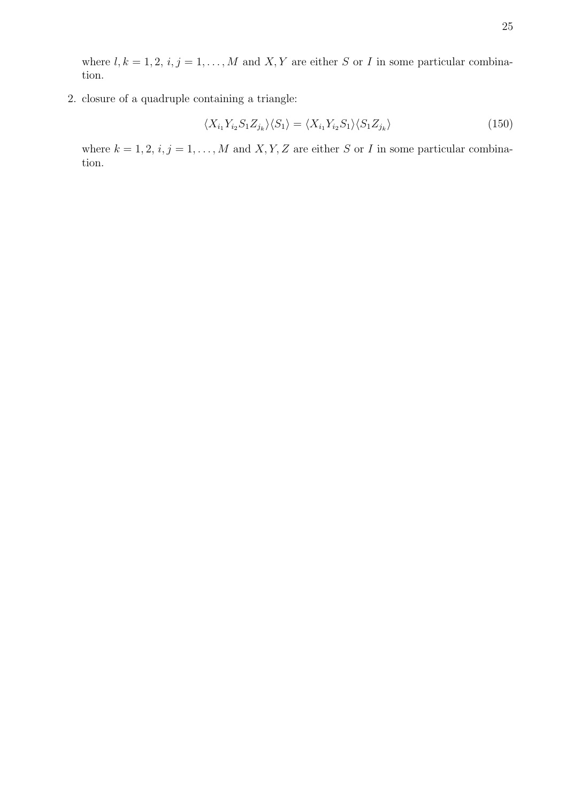where  $l, k = 1, 2, i, j = 1, ..., M$  and  $X, Y$  are either S or I in some particular combination.

2. closure of a quadruple containing a triangle:

$$
\langle X_{i_1} Y_{i_2} S_1 Z_{j_k} \rangle \langle S_1 \rangle = \langle X_{i_1} Y_{i_2} S_1 \rangle \langle S_1 Z_{j_k} \rangle \tag{150}
$$

where  $k = 1, 2, i, j = 1, ..., M$  and X, Y, Z are either S or I in some particular combination.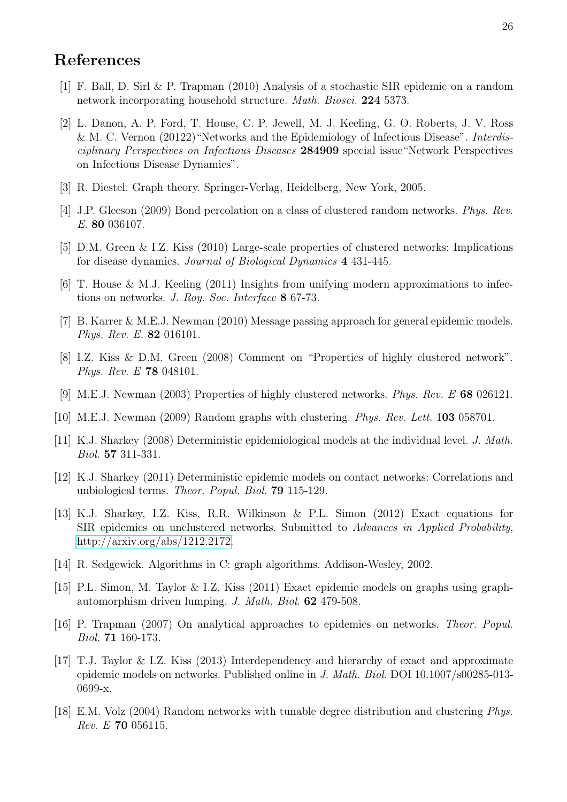## <span id="page-26-11"></span>References

- <span id="page-26-1"></span>[1] F. Ball, D. Sirl & P. Trapman (2010) Analysis of a stochastic SIR epidemic on a random network incorporating household structure. Math. Biosci. 224 5373.
- [2] L. Danon, A. P. Ford, T. House, C. P. Jewell, M. J. Keeling, G. O. Roberts, J. V. Ross & M. C. Vernon (20122) "Networks and the Epidemiology of Infectious Disease". Interdisciplinary Perspectives on Infectious Diseases 284909 special issue"Network Perspectives on Infectious Disease Dynamics".
- <span id="page-26-14"></span><span id="page-26-12"></span>[3] R. Diestel. Graph theory. Springer-Verlag, Heidelberg, New York, 2005.
- <span id="page-26-8"></span>[4] J.P. Gleeson (2009) Bond percolation on a class of clustered random networks. Phys. Rev. E. 80 036107.
- <span id="page-26-2"></span>[5] D.M. Green & I.Z. Kiss (2010) Large-scale properties of clustered networks: Implications for disease dynamics. Journal of Biological Dynamics 4 431-445.
- <span id="page-26-3"></span>[6] T. House & M.J. Keeling (2011) Insights from unifying modern approximations to infections on networks. J. Roy. Soc. Interface 8 67-73.
- <span id="page-26-17"></span>[7] B. Karrer & M.E.J. Newman (2010) Message passing approach for general epidemic models. Phys. Rev. E. 82 016101.
- <span id="page-26-9"></span>[8] I.Z. Kiss & D.M. Green (2008) Comment on "Properties of highly clustered network". Phys. Rev. E 78 048101.
- <span id="page-26-13"></span>[9] M.E.J. Newman (2003) Properties of highly clustered networks. Phys. Rev. E 68 026121.
- <span id="page-26-6"></span>[10] M.E.J. Newman (2009) Random graphs with clustering. Phys. Rev. Lett. 103 058701.
- <span id="page-26-7"></span>[11] K.J. Sharkey (2008) Deterministic epidemiological models at the individual level. J. Math. Biol. 57 311-331.
- [12] K.J. Sharkey (2011) Deterministic epidemic models on contact networks: Correlations and unbiological terms. Theor. Popul. Biol. 79 115-129.
- <span id="page-26-0"></span>[13] K.J. Sharkey, I.Z. Kiss, R.R. Wilkinson & P.L. Simon (2012) Exact equations for SIR epidemics on unclustered networks. Submitted to Advances in Applied Probability, [http://arxiv.org/abs/1212.2172.](http://arxiv.org/abs/1212.2172)
- <span id="page-26-15"></span><span id="page-26-5"></span>[14] R. Sedgewick. Algorithms in C: graph algorithms. Addison-Wesley, 2002.
- [15] P.L. Simon, M. Taylor & I.Z. Kiss (2011) Exact epidemic models on graphs using graphautomorphism driven lumping. J. Math. Biol. 62 479-508.
- <span id="page-26-16"></span><span id="page-26-4"></span>[16] P. Trapman (2007) On analytical approaches to epidemics on networks. Theor. Popul. Biol. 71 160-173.
- [17] T.J. Taylor & I.Z. Kiss (2013) Interdependency and hierarchy of exact and approximate epidemic models on networks. Published online in J. Math. Biol. DOI 10.1007/s00285-013- 0699-x.
- <span id="page-26-10"></span>[18] E.M. Volz (2004) Random networks with tunable degree distribution and clustering Phys. Rev. E 70 056115.